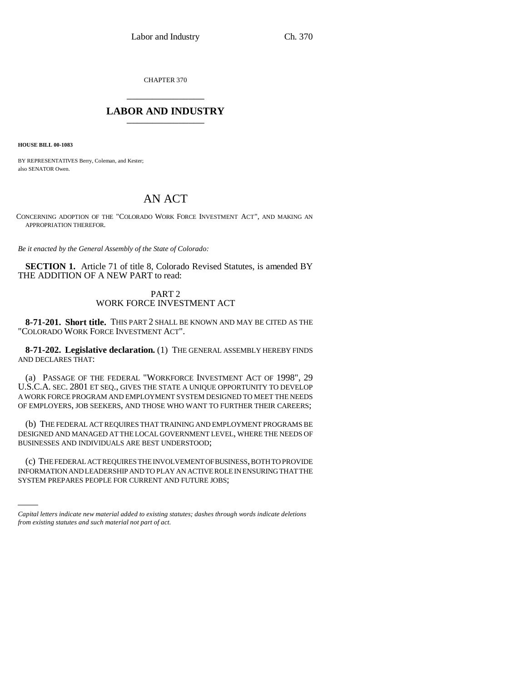CHAPTER 370 \_\_\_\_\_\_\_\_\_\_\_\_\_\_\_

## **LABOR AND INDUSTRY** \_\_\_\_\_\_\_\_\_\_\_\_\_\_\_

**HOUSE BILL 00-1083** 

BY REPRESENTATIVES Berry, Coleman, and Kester; also SENATOR Owen.

# AN ACT

CONCERNING ADOPTION OF THE "COLORADO WORK FORCE INVESTMENT ACT", AND MAKING AN APPROPRIATION THEREFOR.

*Be it enacted by the General Assembly of the State of Colorado:*

**SECTION 1.** Article 71 of title 8, Colorado Revised Statutes, is amended BY THE ADDITION OF A NEW PART to read:

### PART 2 WORK FORCE INVESTMENT ACT

**8-71-201. Short title.** THIS PART 2 SHALL BE KNOWN AND MAY BE CITED AS THE "COLORADO WORK FORCE INVESTMENT ACT".

**8-71-202. Legislative declaration.** (1) THE GENERAL ASSEMBLY HEREBY FINDS AND DECLARES THAT:

(a) PASSAGE OF THE FEDERAL "WORKFORCE INVESTMENT ACT OF 1998", 29 U.S.C.A. SEC. 2801 ET SEQ., GIVES THE STATE A UNIQUE OPPORTUNITY TO DEVELOP A WORK FORCE PROGRAM AND EMPLOYMENT SYSTEM DESIGNED TO MEET THE NEEDS OF EMPLOYERS, JOB SEEKERS, AND THOSE WHO WANT TO FURTHER THEIR CAREERS;

(b) THE FEDERAL ACT REQUIRES THAT TRAINING AND EMPLOYMENT PROGRAMS BE DESIGNED AND MANAGED AT THE LOCAL GOVERNMENT LEVEL, WHERE THE NEEDS OF BUSINESSES AND INDIVIDUALS ARE BEST UNDERSTOOD;

IC) THE FEDEKAL ACT KEQUIKES THE INVOLVEMENT OF BUSINESS, BOTH TO PROVIDE<br>INFORMATION AND LEADERSHIP AND TO PLAY AN ACTIVE ROLE IN ENSURING THAT THE (c) THE FEDERAL ACT REQUIRES THE INVOLVEMENT OF BUSINESS, BOTH TO PROVIDE SYSTEM PREPARES PEOPLE FOR CURRENT AND FUTURE JOBS;

*Capital letters indicate new material added to existing statutes; dashes through words indicate deletions from existing statutes and such material not part of act.*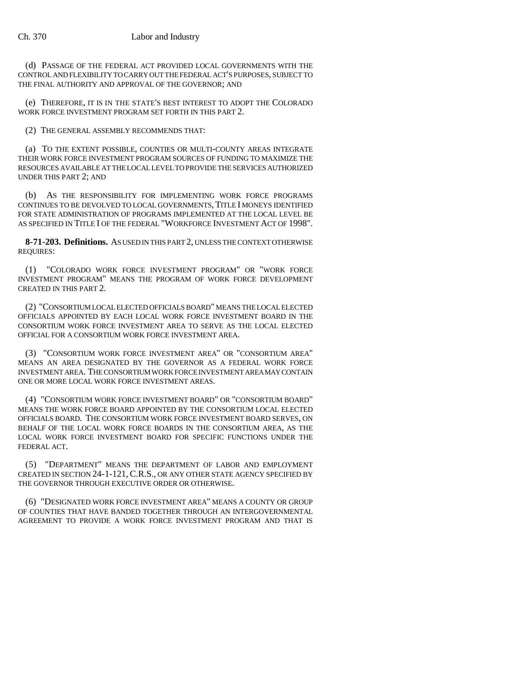(d) PASSAGE OF THE FEDERAL ACT PROVIDED LOCAL GOVERNMENTS WITH THE CONTROL AND FLEXIBILITY TO CARRY OUT THE FEDERAL ACT'S PURPOSES, SUBJECT TO THE FINAL AUTHORITY AND APPROVAL OF THE GOVERNOR; AND

(e) THEREFORE, IT IS IN THE STATE'S BEST INTEREST TO ADOPT THE COLORADO WORK FORCE INVESTMENT PROGRAM SET FORTH IN THIS PART 2.

(2) THE GENERAL ASSEMBLY RECOMMENDS THAT:

(a) TO THE EXTENT POSSIBLE, COUNTIES OR MULTI-COUNTY AREAS INTEGRATE THEIR WORK FORCE INVESTMENT PROGRAM SOURCES OF FUNDING TO MAXIMIZE THE RESOURCES AVAILABLE AT THE LOCAL LEVEL TO PROVIDE THE SERVICES AUTHORIZED UNDER THIS PART 2; AND

(b) AS THE RESPONSIBILITY FOR IMPLEMENTING WORK FORCE PROGRAMS CONTINUES TO BE DEVOLVED TO LOCAL GOVERNMENTS, TITLE I MONEYS IDENTIFIED FOR STATE ADMINISTRATION OF PROGRAMS IMPLEMENTED AT THE LOCAL LEVEL BE AS SPECIFIED IN TITLE I OF THE FEDERAL "WORKFORCE INVESTMENT ACT OF 1998".

**8-71-203. Definitions.** AS USED IN THIS PART 2, UNLESS THE CONTEXT OTHERWISE REQUIRES:

(1) "COLORADO WORK FORCE INVESTMENT PROGRAM" OR "WORK FORCE INVESTMENT PROGRAM" MEANS THE PROGRAM OF WORK FORCE DEVELOPMENT CREATED IN THIS PART 2.

(2) "CONSORTIUM LOCAL ELECTED OFFICIALS BOARD" MEANS THE LOCAL ELECTED OFFICIALS APPOINTED BY EACH LOCAL WORK FORCE INVESTMENT BOARD IN THE CONSORTIUM WORK FORCE INVESTMENT AREA TO SERVE AS THE LOCAL ELECTED OFFICIAL FOR A CONSORTIUM WORK FORCE INVESTMENT AREA.

(3) "CONSORTIUM WORK FORCE INVESTMENT AREA" OR "CONSORTIUM AREA" MEANS AN AREA DESIGNATED BY THE GOVERNOR AS A FEDERAL WORK FORCE INVESTMENT AREA. THE CONSORTIUM WORK FORCE INVESTMENT AREA MAY CONTAIN ONE OR MORE LOCAL WORK FORCE INVESTMENT AREAS.

(4) "CONSORTIUM WORK FORCE INVESTMENT BOARD" OR "CONSORTIUM BOARD" MEANS THE WORK FORCE BOARD APPOINTED BY THE CONSORTIUM LOCAL ELECTED OFFICIALS BOARD. THE CONSORTIUM WORK FORCE INVESTMENT BOARD SERVES, ON BEHALF OF THE LOCAL WORK FORCE BOARDS IN THE CONSORTIUM AREA, AS THE LOCAL WORK FORCE INVESTMENT BOARD FOR SPECIFIC FUNCTIONS UNDER THE FEDERAL ACT.

(5) "DEPARTMENT" MEANS THE DEPARTMENT OF LABOR AND EMPLOYMENT CREATED IN SECTION 24-1-121, C.R.S., OR ANY OTHER STATE AGENCY SPECIFIED BY THE GOVERNOR THROUGH EXECUTIVE ORDER OR OTHERWISE.

(6) "DESIGNATED WORK FORCE INVESTMENT AREA" MEANS A COUNTY OR GROUP OF COUNTIES THAT HAVE BANDED TOGETHER THROUGH AN INTERGOVERNMENTAL AGREEMENT TO PROVIDE A WORK FORCE INVESTMENT PROGRAM AND THAT IS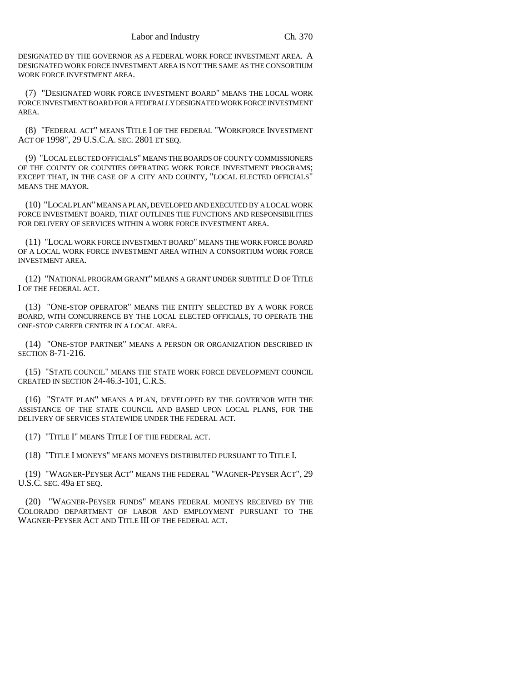DESIGNATED BY THE GOVERNOR AS A FEDERAL WORK FORCE INVESTMENT AREA. A DESIGNATED WORK FORCE INVESTMENT AREA IS NOT THE SAME AS THE CONSORTIUM WORK FORCE INVESTMENT AREA.

(7) "DESIGNATED WORK FORCE INVESTMENT BOARD" MEANS THE LOCAL WORK FORCE INVESTMENT BOARD FOR A FEDERALLY DESIGNATED WORK FORCE INVESTMENT AREA.

(8) "FEDERAL ACT" MEANS TITLE I OF THE FEDERAL "WORKFORCE INVESTMENT ACT OF 1998", 29 U.S.C.A. SEC. 2801 ET SEQ.

(9) "LOCAL ELECTED OFFICIALS" MEANS THE BOARDS OF COUNTY COMMISSIONERS OF THE COUNTY OR COUNTIES OPERATING WORK FORCE INVESTMENT PROGRAMS; EXCEPT THAT, IN THE CASE OF A CITY AND COUNTY, "LOCAL ELECTED OFFICIALS" MEANS THE MAYOR.

(10) "LOCAL PLAN" MEANS A PLAN, DEVELOPED AND EXECUTED BY A LOCAL WORK FORCE INVESTMENT BOARD, THAT OUTLINES THE FUNCTIONS AND RESPONSIBILITIES FOR DELIVERY OF SERVICES WITHIN A WORK FORCE INVESTMENT AREA.

(11) "LOCAL WORK FORCE INVESTMENT BOARD" MEANS THE WORK FORCE BOARD OF A LOCAL WORK FORCE INVESTMENT AREA WITHIN A CONSORTIUM WORK FORCE INVESTMENT AREA.

(12) "NATIONAL PROGRAM GRANT" MEANS A GRANT UNDER SUBTITLE D OF TITLE I OF THE FEDERAL ACT.

(13) "ONE-STOP OPERATOR" MEANS THE ENTITY SELECTED BY A WORK FORCE BOARD, WITH CONCURRENCE BY THE LOCAL ELECTED OFFICIALS, TO OPERATE THE ONE-STOP CAREER CENTER IN A LOCAL AREA.

(14) "ONE-STOP PARTNER" MEANS A PERSON OR ORGANIZATION DESCRIBED IN SECTION 8-71-216.

(15) "STATE COUNCIL" MEANS THE STATE WORK FORCE DEVELOPMENT COUNCIL CREATED IN SECTION 24-46.3-101, C.R.S.

(16) "STATE PLAN" MEANS A PLAN, DEVELOPED BY THE GOVERNOR WITH THE ASSISTANCE OF THE STATE COUNCIL AND BASED UPON LOCAL PLANS, FOR THE DELIVERY OF SERVICES STATEWIDE UNDER THE FEDERAL ACT.

(17) "TITLE I" MEANS TITLE I OF THE FEDERAL ACT.

(18) "TITLE I MONEYS" MEANS MONEYS DISTRIBUTED PURSUANT TO TITLE I.

(19) "WAGNER-PEYSER ACT" MEANS THE FEDERAL "WAGNER-PEYSER ACT", 29 U.S.C. SEC. 49a ET SEQ.

(20) "WAGNER-PEYSER FUNDS" MEANS FEDERAL MONEYS RECEIVED BY THE COLORADO DEPARTMENT OF LABOR AND EMPLOYMENT PURSUANT TO THE WAGNER-PEYSER ACT AND TITLE III OF THE FEDERAL ACT.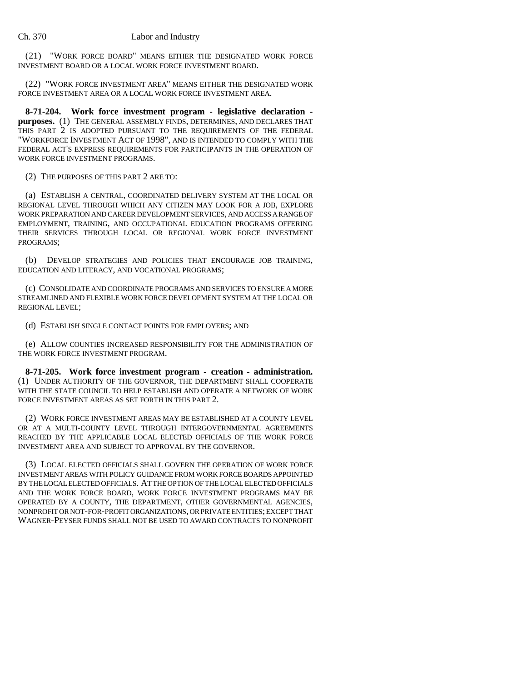(21) "WORK FORCE BOARD" MEANS EITHER THE DESIGNATED WORK FORCE INVESTMENT BOARD OR A LOCAL WORK FORCE INVESTMENT BOARD.

(22) "WORK FORCE INVESTMENT AREA" MEANS EITHER THE DESIGNATED WORK FORCE INVESTMENT AREA OR A LOCAL WORK FORCE INVESTMENT AREA.

**8-71-204. Work force investment program - legislative declaration purposes.** (1) THE GENERAL ASSEMBLY FINDS, DETERMINES, AND DECLARES THAT THIS PART 2 IS ADOPTED PURSUANT TO THE REQUIREMENTS OF THE FEDERAL "WORKFORCE INVESTMENT ACT OF 1998", AND IS INTENDED TO COMPLY WITH THE FEDERAL ACT'S EXPRESS REQUIREMENTS FOR PARTICIPANTS IN THE OPERATION OF WORK FORCE INVESTMENT PROGRAMS.

(2) THE PURPOSES OF THIS PART 2 ARE TO:

(a) ESTABLISH A CENTRAL, COORDINATED DELIVERY SYSTEM AT THE LOCAL OR REGIONAL LEVEL THROUGH WHICH ANY CITIZEN MAY LOOK FOR A JOB, EXPLORE WORK PREPARATION AND CAREER DEVELOPMENT SERVICES, AND ACCESS A RANGE OF EMPLOYMENT, TRAINING, AND OCCUPATIONAL EDUCATION PROGRAMS OFFERING THEIR SERVICES THROUGH LOCAL OR REGIONAL WORK FORCE INVESTMENT PROGRAMS;

(b) DEVELOP STRATEGIES AND POLICIES THAT ENCOURAGE JOB TRAINING, EDUCATION AND LITERACY, AND VOCATIONAL PROGRAMS;

(c) CONSOLIDATE AND COORDINATE PROGRAMS AND SERVICES TO ENSURE A MORE STREAMLINED AND FLEXIBLE WORK FORCE DEVELOPMENT SYSTEM AT THE LOCAL OR REGIONAL LEVEL;

(d) ESTABLISH SINGLE CONTACT POINTS FOR EMPLOYERS; AND

(e) ALLOW COUNTIES INCREASED RESPONSIBILITY FOR THE ADMINISTRATION OF THE WORK FORCE INVESTMENT PROGRAM.

**8-71-205. Work force investment program - creation - administration.** (1) UNDER AUTHORITY OF THE GOVERNOR, THE DEPARTMENT SHALL COOPERATE WITH THE STATE COUNCIL TO HELP ESTABLISH AND OPERATE A NETWORK OF WORK FORCE INVESTMENT AREAS AS SET FORTH IN THIS PART 2.

(2) WORK FORCE INVESTMENT AREAS MAY BE ESTABLISHED AT A COUNTY LEVEL OR AT A MULTI-COUNTY LEVEL THROUGH INTERGOVERNMENTAL AGREEMENTS REACHED BY THE APPLICABLE LOCAL ELECTED OFFICIALS OF THE WORK FORCE INVESTMENT AREA AND SUBJECT TO APPROVAL BY THE GOVERNOR.

(3) LOCAL ELECTED OFFICIALS SHALL GOVERN THE OPERATION OF WORK FORCE INVESTMENT AREAS WITH POLICY GUIDANCE FROM WORK FORCE BOARDS APPOINTED BY THE LOCAL ELECTED OFFICIALS. AT THE OPTION OF THE LOCAL ELECTED OFFICIALS AND THE WORK FORCE BOARD, WORK FORCE INVESTMENT PROGRAMS MAY BE OPERATED BY A COUNTY, THE DEPARTMENT, OTHER GOVERNMENTAL AGENCIES, NONPROFIT OR NOT-FOR-PROFIT ORGANIZATIONS, OR PRIVATE ENTITIES; EXCEPT THAT WAGNER-PEYSER FUNDS SHALL NOT BE USED TO AWARD CONTRACTS TO NONPROFIT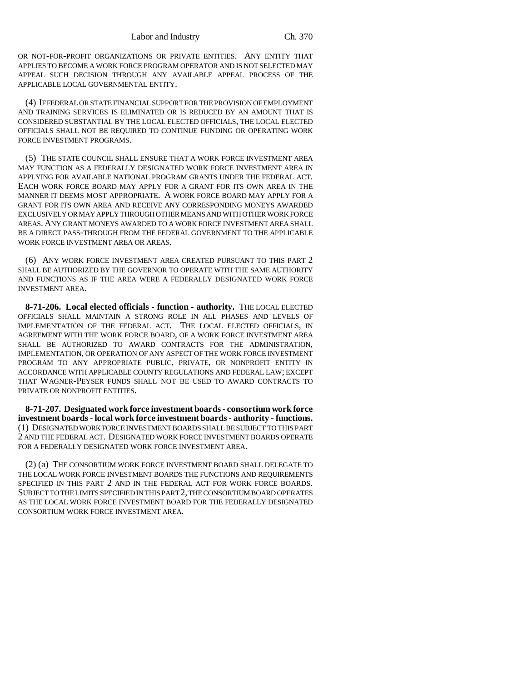OR NOT-FOR-PROFIT ORGANIZATIONS OR PRIVATE ENTITIES. ANY ENTITY THAT APPLIES TO BECOME A WORK FORCE PROGRAM OPERATOR AND IS NOT SELECTED MAY APPEAL SUCH DECISION THROUGH ANY AVAILABLE APPEAL PROCESS OF THE APPLICABLE LOCAL GOVERNMENTAL ENTITY.

(4) IF FEDERAL OR STATE FINANCIAL SUPPORT FOR THE PROVISION OF EMPLOYMENT AND TRAINING SERVICES IS ELIMINATED OR IS REDUCED BY AN AMOUNT THAT IS CONSIDERED SUBSTANTIAL BY THE LOCAL ELECTED OFFICIALS, THE LOCAL ELECTED OFFICIALS SHALL NOT BE REQUIRED TO CONTINUE FUNDING OR OPERATING WORK FORCE INVESTMENT PROGRAMS.

(5) THE STATE COUNCIL SHALL ENSURE THAT A WORK FORCE INVESTMENT AREA MAY FUNCTION AS A FEDERALLY DESIGNATED WORK FORCE INVESTMENT AREA IN APPLYING FOR AVAILABLE NATIONAL PROGRAM GRANTS UNDER THE FEDERAL ACT. EACH WORK FORCE BOARD MAY APPLY FOR A GRANT FOR ITS OWN AREA IN THE MANNER IT DEEMS MOST APPROPRIATE. A WORK FORCE BOARD MAY APPLY FOR A GRANT FOR ITS OWN AREA AND RECEIVE ANY CORRESPONDING MONEYS AWARDED EXCLUSIVELY OR MAY APPLY THROUGH OTHER MEANS AND WITH OTHER WORK FORCE AREAS. ANY GRANT MONEYS AWARDED TO A WORK FORCE INVESTMENT AREA SHALL BE A DIRECT PASS-THROUGH FROM THE FEDERAL GOVERNMENT TO THE APPLICABLE WORK FORCE INVESTMENT AREA OR AREAS.

(6) ANY WORK FORCE INVESTMENT AREA CREATED PURSUANT TO THIS PART 2 SHALL BE AUTHORIZED BY THE GOVERNOR TO OPERATE WITH THE SAME AUTHORITY AND FUNCTIONS AS IF THE AREA WERE A FEDERALLY DESIGNATED WORK FORCE INVESTMENT AREA.

**8-71-206. Local elected officials - function - authority.** THE LOCAL ELECTED OFFICIALS SHALL MAINTAIN A STRONG ROLE IN ALL PHASES AND LEVELS OF IMPLEMENTATION OF THE FEDERAL ACT. THE LOCAL ELECTED OFFICIALS, IN AGREEMENT WITH THE WORK FORCE BOARD, OF A WORK FORCE INVESTMENT AREA SHALL BE AUTHORIZED TO AWARD CONTRACTS FOR THE ADMINISTRATION, IMPLEMENTATION, OR OPERATION OF ANY ASPECT OF THE WORK FORCE INVESTMENT PROGRAM TO ANY APPROPRIATE PUBLIC, PRIVATE, OR NONPROFIT ENTITY IN ACCORDANCE WITH APPLICABLE COUNTY REGULATIONS AND FEDERAL LAW; EXCEPT THAT WAGNER-PEYSER FUNDS SHALL NOT BE USED TO AWARD CONTRACTS TO PRIVATE OR NONPROFIT ENTITIES.

**8-71-207. Designated work force investment boards - consortium work force investment boards - local work force investment boards - authority - functions.** (1) DESIGNATED WORK FORCE INVESTMENT BOARDS SHALL BE SUBJECT TO THIS PART 2 AND THE FEDERAL ACT. DESIGNATED WORK FORCE INVESTMENT BOARDS OPERATE FOR A FEDERALLY DESIGNATED WORK FORCE INVESTMENT AREA.

(2) (a) THE CONSORTIUM WORK FORCE INVESTMENT BOARD SHALL DELEGATE TO THE LOCAL WORK FORCE INVESTMENT BOARDS THE FUNCTIONS AND REQUIREMENTS SPECIFIED IN THIS PART 2 AND IN THE FEDERAL ACT FOR WORK FORCE BOARDS. SUBJECT TO THE LIMITS SPECIFIED IN THIS PART 2, THE CONSORTIUM BOARD OPERATES AS THE LOCAL WORK FORCE INVESTMENT BOARD FOR THE FEDERALLY DESIGNATED CONSORTIUM WORK FORCE INVESTMENT AREA.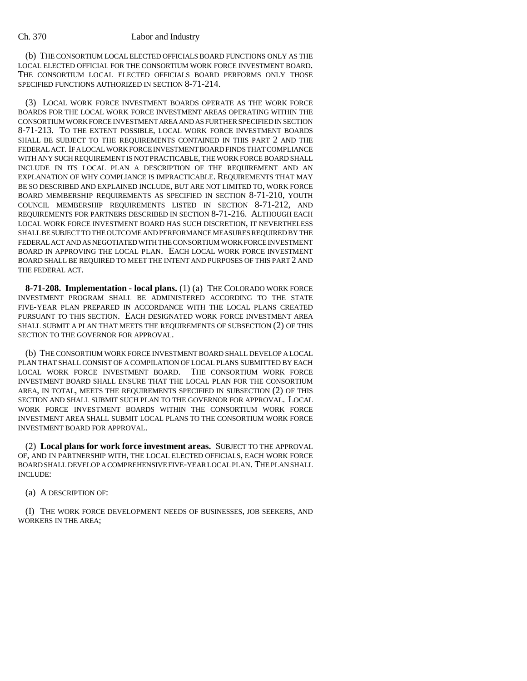(b) THE CONSORTIUM LOCAL ELECTED OFFICIALS BOARD FUNCTIONS ONLY AS THE LOCAL ELECTED OFFICIAL FOR THE CONSORTIUM WORK FORCE INVESTMENT BOARD. THE CONSORTIUM LOCAL ELECTED OFFICIALS BOARD PERFORMS ONLY THOSE SPECIFIED FUNCTIONS AUTHORIZED IN SECTION 8-71-214.

(3) LOCAL WORK FORCE INVESTMENT BOARDS OPERATE AS THE WORK FORCE BOARDS FOR THE LOCAL WORK FORCE INVESTMENT AREAS OPERATING WITHIN THE CONSORTIUM WORK FORCE INVESTMENT AREA AND AS FURTHER SPECIFIED IN SECTION 8-71-213. TO THE EXTENT POSSIBLE, LOCAL WORK FORCE INVESTMENT BOARDS SHALL BE SUBJECT TO THE REQUIREMENTS CONTAINED IN THIS PART 2 AND THE FEDERAL ACT. IF A LOCAL WORK FORCE INVESTMENT BOARD FINDS THAT COMPLIANCE WITH ANY SUCH REQUIREMENT IS NOT PRACTICABLE, THE WORK FORCE BOARD SHALL INCLUDE IN ITS LOCAL PLAN A DESCRIPTION OF THE REQUIREMENT AND AN EXPLANATION OF WHY COMPLIANCE IS IMPRACTICABLE. REQUIREMENTS THAT MAY BE SO DESCRIBED AND EXPLAINED INCLUDE, BUT ARE NOT LIMITED TO, WORK FORCE BOARD MEMBERSHIP REQUIREMENTS AS SPECIFIED IN SECTION 8-71-210, YOUTH COUNCIL MEMBERSHIP REQUIREMENTS LISTED IN SECTION 8-71-212, AND REQUIREMENTS FOR PARTNERS DESCRIBED IN SECTION 8-71-216. ALTHOUGH EACH LOCAL WORK FORCE INVESTMENT BOARD HAS SUCH DISCRETION, IT NEVERTHELESS SHALL BE SUBJECT TO THE OUTCOME AND PERFORMANCE MEASURES REQUIRED BY THE FEDERAL ACT AND AS NEGOTIATED WITH THE CONSORTIUM WORK FORCE INVESTMENT BOARD IN APPROVING THE LOCAL PLAN. EACH LOCAL WORK FORCE INVESTMENT BOARD SHALL BE REQUIRED TO MEET THE INTENT AND PURPOSES OF THIS PART 2 AND THE FEDERAL ACT.

**8-71-208. Implementation - local plans.** (1) (a) THE COLORADO WORK FORCE INVESTMENT PROGRAM SHALL BE ADMINISTERED ACCORDING TO THE STATE FIVE-YEAR PLAN PREPARED IN ACCORDANCE WITH THE LOCAL PLANS CREATED PURSUANT TO THIS SECTION. EACH DESIGNATED WORK FORCE INVESTMENT AREA SHALL SUBMIT A PLAN THAT MEETS THE REQUIREMENTS OF SUBSECTION (2) OF THIS SECTION TO THE GOVERNOR FOR APPROVAL.

(b) THE CONSORTIUM WORK FORCE INVESTMENT BOARD SHALL DEVELOP A LOCAL PLAN THAT SHALL CONSIST OF A COMPILATION OF LOCAL PLANS SUBMITTED BY EACH LOCAL WORK FORCE INVESTMENT BOARD. THE CONSORTIUM WORK FORCE INVESTMENT BOARD SHALL ENSURE THAT THE LOCAL PLAN FOR THE CONSORTIUM AREA, IN TOTAL, MEETS THE REQUIREMENTS SPECIFIED IN SUBSECTION (2) OF THIS SECTION AND SHALL SUBMIT SUCH PLAN TO THE GOVERNOR FOR APPROVAL. LOCAL WORK FORCE INVESTMENT BOARDS WITHIN THE CONSORTIUM WORK FORCE INVESTMENT AREA SHALL SUBMIT LOCAL PLANS TO THE CONSORTIUM WORK FORCE INVESTMENT BOARD FOR APPROVAL.

(2) **Local plans for work force investment areas.** SUBJECT TO THE APPROVAL OF, AND IN PARTNERSHIP WITH, THE LOCAL ELECTED OFFICIALS, EACH WORK FORCE BOARD SHALL DEVELOP A COMPREHENSIVE FIVE-YEAR LOCAL PLAN. THE PLAN SHALL INCLUDE:

(a) A DESCRIPTION OF:

(I) THE WORK FORCE DEVELOPMENT NEEDS OF BUSINESSES, JOB SEEKERS, AND WORKERS IN THE AREA;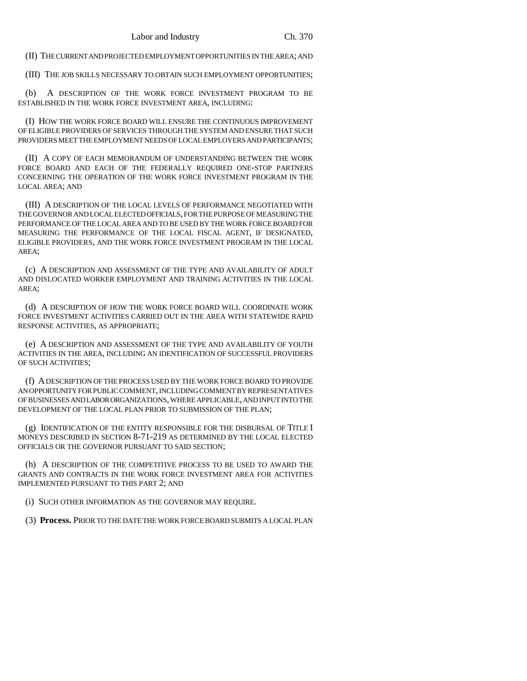(II) THE CURRENT AND PROJECTED EMPLOYMENT OPPORTUNITIES IN THE AREA; AND

(III) THE JOB SKILLS NECESSARY TO OBTAIN SUCH EMPLOYMENT OPPORTUNITIES;

(b) A DESCRIPTION OF THE WORK FORCE INVESTMENT PROGRAM TO BE ESTABLISHED IN THE WORK FORCE INVESTMENT AREA, INCLUDING:

(I) HOW THE WORK FORCE BOARD WILL ENSURE THE CONTINUOUS IMPROVEMENT OF ELIGIBLE PROVIDERS OF SERVICES THROUGH THE SYSTEM AND ENSURE THAT SUCH PROVIDERS MEET THE EMPLOYMENT NEEDS OF LOCAL EMPLOYERS AND PARTICIPANTS;

(II) A COPY OF EACH MEMORANDUM OF UNDERSTANDING BETWEEN THE WORK FORCE BOARD AND EACH OF THE FEDERALLY REQUIRED ONE-STOP PARTNERS CONCERNING THE OPERATION OF THE WORK FORCE INVESTMENT PROGRAM IN THE LOCAL AREA; AND

(III) A DESCRIPTION OF THE LOCAL LEVELS OF PERFORMANCE NEGOTIATED WITH THE GOVERNOR AND LOCAL ELECTED OFFICIALS, FOR THE PURPOSE OF MEASURING THE PERFORMANCE OF THE LOCAL AREA AND TO BE USED BY THE WORK FORCE BOARD FOR MEASURING THE PERFORMANCE OF THE LOCAL FISCAL AGENT, IF DESIGNATED, ELIGIBLE PROVIDERS, AND THE WORK FORCE INVESTMENT PROGRAM IN THE LOCAL AREA;

(c) A DESCRIPTION AND ASSESSMENT OF THE TYPE AND AVAILABILITY OF ADULT AND DISLOCATED WORKER EMPLOYMENT AND TRAINING ACTIVITIES IN THE LOCAL AREA;

(d) A DESCRIPTION OF HOW THE WORK FORCE BOARD WILL COORDINATE WORK FORCE INVESTMENT ACTIVITIES CARRIED OUT IN THE AREA WITH STATEWIDE RAPID RESPONSE ACTIVITIES, AS APPROPRIATE;

(e) A DESCRIPTION AND ASSESSMENT OF THE TYPE AND AVAILABILITY OF YOUTH ACTIVITIES IN THE AREA, INCLUDING AN IDENTIFICATION OF SUCCESSFUL PROVIDERS OF SUCH ACTIVITIES;

(f) A DESCRIPTION OF THE PROCESS USED BY THE WORK FORCE BOARD TO PROVIDE AN OPPORTUNITY FOR PUBLIC COMMENT, INCLUDING COMMENT BY REPRESENTATIVES OF BUSINESSES AND LABOR ORGANIZATIONS, WHERE APPLICABLE, AND INPUT INTO THE DEVELOPMENT OF THE LOCAL PLAN PRIOR TO SUBMISSION OF THE PLAN;

(g) IDENTIFICATION OF THE ENTITY RESPONSIBLE FOR THE DISBURSAL OF TITLE I MONEYS DESCRIBED IN SECTION 8-71-219 AS DETERMINED BY THE LOCAL ELECTED OFFICIALS OR THE GOVERNOR PURSUANT TO SAID SECTION;

(h) A DESCRIPTION OF THE COMPETITIVE PROCESS TO BE USED TO AWARD THE GRANTS AND CONTRACTS IN THE WORK FORCE INVESTMENT AREA FOR ACTIVITIES IMPLEMENTED PURSUANT TO THIS PART 2; AND

(i) SUCH OTHER INFORMATION AS THE GOVERNOR MAY REQUIRE.

(3) **Process.** PRIOR TO THE DATE THE WORK FORCE BOARD SUBMITS A LOCAL PLAN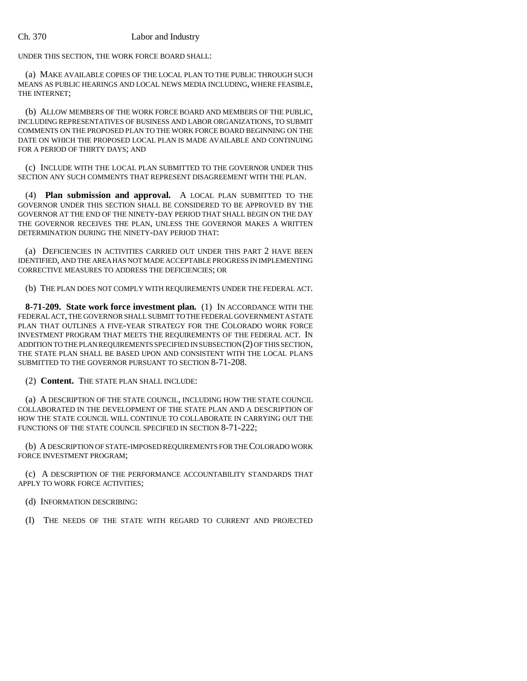UNDER THIS SECTION, THE WORK FORCE BOARD SHALL:

(a) MAKE AVAILABLE COPIES OF THE LOCAL PLAN TO THE PUBLIC THROUGH SUCH MEANS AS PUBLIC HEARINGS AND LOCAL NEWS MEDIA INCLUDING, WHERE FEASIBLE, THE INTERNET;

(b) ALLOW MEMBERS OF THE WORK FORCE BOARD AND MEMBERS OF THE PUBLIC, INCLUDING REPRESENTATIVES OF BUSINESS AND LABOR ORGANIZATIONS, TO SUBMIT COMMENTS ON THE PROPOSED PLAN TO THE WORK FORCE BOARD BEGINNING ON THE DATE ON WHICH THE PROPOSED LOCAL PLAN IS MADE AVAILABLE AND CONTINUING FOR A PERIOD OF THIRTY DAYS; AND

(c) INCLUDE WITH THE LOCAL PLAN SUBMITTED TO THE GOVERNOR UNDER THIS SECTION ANY SUCH COMMENTS THAT REPRESENT DISAGREEMENT WITH THE PLAN.

(4) **Plan submission and approval.** A LOCAL PLAN SUBMITTED TO THE GOVERNOR UNDER THIS SECTION SHALL BE CONSIDERED TO BE APPROVED BY THE GOVERNOR AT THE END OF THE NINETY-DAY PERIOD THAT SHALL BEGIN ON THE DAY THE GOVERNOR RECEIVES THE PLAN, UNLESS THE GOVERNOR MAKES A WRITTEN DETERMINATION DURING THE NINETY-DAY PERIOD THAT:

(a) DEFICIENCIES IN ACTIVITIES CARRIED OUT UNDER THIS PART 2 HAVE BEEN IDENTIFIED, AND THE AREA HAS NOT MADE ACCEPTABLE PROGRESS IN IMPLEMENTING CORRECTIVE MEASURES TO ADDRESS THE DEFICIENCIES; OR

(b) THE PLAN DOES NOT COMPLY WITH REQUIREMENTS UNDER THE FEDERAL ACT.

**8-71-209. State work force investment plan.** (1) IN ACCORDANCE WITH THE FEDERAL ACT, THE GOVERNOR SHALL SUBMIT TO THE FEDERAL GOVERNMENT A STATE PLAN THAT OUTLINES A FIVE-YEAR STRATEGY FOR THE COLORADO WORK FORCE INVESTMENT PROGRAM THAT MEETS THE REQUIREMENTS OF THE FEDERAL ACT. IN ADDITION TO THE PLAN REQUIREMENTS SPECIFIED IN SUBSECTION (2) OF THIS SECTION, THE STATE PLAN SHALL BE BASED UPON AND CONSISTENT WITH THE LOCAL PLANS SUBMITTED TO THE GOVERNOR PURSUANT TO SECTION 8-71-208.

(2) **Content.** THE STATE PLAN SHALL INCLUDE:

(a) A DESCRIPTION OF THE STATE COUNCIL, INCLUDING HOW THE STATE COUNCIL COLLABORATED IN THE DEVELOPMENT OF THE STATE PLAN AND A DESCRIPTION OF HOW THE STATE COUNCIL WILL CONTINUE TO COLLABORATE IN CARRYING OUT THE FUNCTIONS OF THE STATE COUNCIL SPECIFIED IN SECTION 8-71-222;

(b) A DESCRIPTION OF STATE-IMPOSED REQUIREMENTS FOR THE COLORADO WORK FORCE INVESTMENT PROGRAM;

(c) A DESCRIPTION OF THE PERFORMANCE ACCOUNTABILITY STANDARDS THAT APPLY TO WORK FORCE ACTIVITIES;

(d) INFORMATION DESCRIBING:

(I) THE NEEDS OF THE STATE WITH REGARD TO CURRENT AND PROJECTED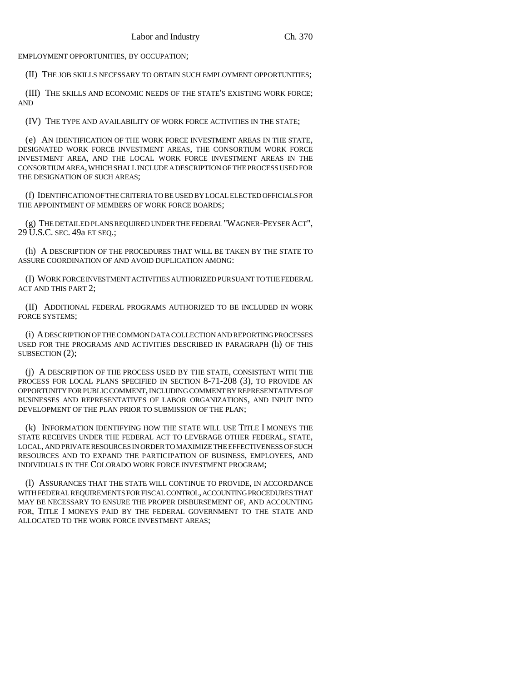EMPLOYMENT OPPORTUNITIES, BY OCCUPATION;

(II) THE JOB SKILLS NECESSARY TO OBTAIN SUCH EMPLOYMENT OPPORTUNITIES;

(III) THE SKILLS AND ECONOMIC NEEDS OF THE STATE'S EXISTING WORK FORCE; AND

(IV) THE TYPE AND AVAILABILITY OF WORK FORCE ACTIVITIES IN THE STATE;

(e) AN IDENTIFICATION OF THE WORK FORCE INVESTMENT AREAS IN THE STATE, DESIGNATED WORK FORCE INVESTMENT AREAS, THE CONSORTIUM WORK FORCE INVESTMENT AREA, AND THE LOCAL WORK FORCE INVESTMENT AREAS IN THE CONSORTIUM AREA, WHICH SHALL INCLUDE A DESCRIPTION OF THE PROCESS USED FOR THE DESIGNATION OF SUCH AREAS;

(f) IDENTIFICATION OF THE CRITERIA TO BE USED BY LOCAL ELECTED OFFICIALS FOR THE APPOINTMENT OF MEMBERS OF WORK FORCE BOARDS;

(g) THE DETAILED PLANS REQUIRED UNDER THE FEDERAL "WAGNER-PEYSER ACT", 29 U.S.C. SEC. 49a ET SEQ.;

(h) A DESCRIPTION OF THE PROCEDURES THAT WILL BE TAKEN BY THE STATE TO ASSURE COORDINATION OF AND AVOID DUPLICATION AMONG:

(I) WORK FORCE INVESTMENT ACTIVITIES AUTHORIZED PURSUANT TO THE FEDERAL ACT AND THIS PART 2;

(II) ADDITIONAL FEDERAL PROGRAMS AUTHORIZED TO BE INCLUDED IN WORK FORCE SYSTEMS;

(i) A DESCRIPTION OF THE COMMON DATA COLLECTION AND REPORTING PROCESSES USED FOR THE PROGRAMS AND ACTIVITIES DESCRIBED IN PARAGRAPH (h) OF THIS SUBSECTION  $(2)$ :

(j) A DESCRIPTION OF THE PROCESS USED BY THE STATE, CONSISTENT WITH THE PROCESS FOR LOCAL PLANS SPECIFIED IN SECTION 8-71-208 (3), TO PROVIDE AN OPPORTUNITY FOR PUBLIC COMMENT, INCLUDING COMMENT BY REPRESENTATIVES OF BUSINESSES AND REPRESENTATIVES OF LABOR ORGANIZATIONS, AND INPUT INTO DEVELOPMENT OF THE PLAN PRIOR TO SUBMISSION OF THE PLAN;

(k) INFORMATION IDENTIFYING HOW THE STATE WILL USE TITLE I MONEYS THE STATE RECEIVES UNDER THE FEDERAL ACT TO LEVERAGE OTHER FEDERAL, STATE, LOCAL, AND PRIVATE RESOURCES IN ORDER TO MAXIMIZE THE EFFECTIVENESS OF SUCH RESOURCES AND TO EXPAND THE PARTICIPATION OF BUSINESS, EMPLOYEES, AND INDIVIDUALS IN THE COLORADO WORK FORCE INVESTMENT PROGRAM;

(l) ASSURANCES THAT THE STATE WILL CONTINUE TO PROVIDE, IN ACCORDANCE WITH FEDERAL REQUIREMENTS FOR FISCAL CONTROL, ACCOUNTING PROCEDURES THAT MAY BE NECESSARY TO ENSURE THE PROPER DISBURSEMENT OF, AND ACCOUNTING FOR, TITLE I MONEYS PAID BY THE FEDERAL GOVERNMENT TO THE STATE AND ALLOCATED TO THE WORK FORCE INVESTMENT AREAS;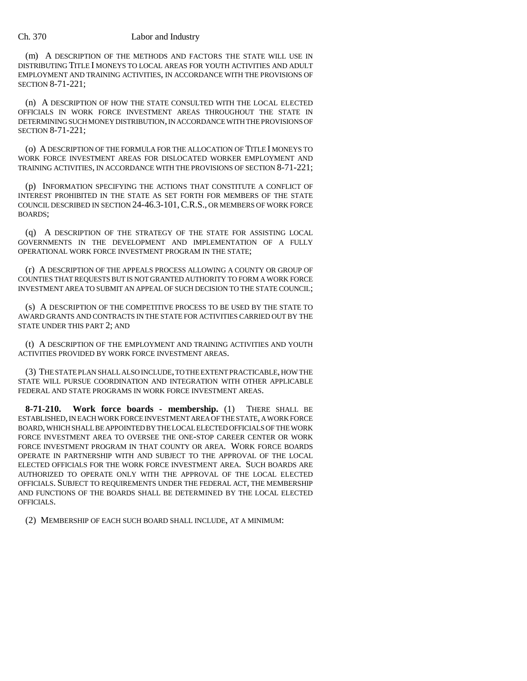(m) A DESCRIPTION OF THE METHODS AND FACTORS THE STATE WILL USE IN DISTRIBUTING TITLE I MONEYS TO LOCAL AREAS FOR YOUTH ACTIVITIES AND ADULT EMPLOYMENT AND TRAINING ACTIVITIES, IN ACCORDANCE WITH THE PROVISIONS OF SECTION 8-71-221;

(n) A DESCRIPTION OF HOW THE STATE CONSULTED WITH THE LOCAL ELECTED OFFICIALS IN WORK FORCE INVESTMENT AREAS THROUGHOUT THE STATE IN DETERMINING SUCH MONEY DISTRIBUTION, IN ACCORDANCE WITH THE PROVISIONS OF SECTION 8-71-221;

(o) A DESCRIPTION OF THE FORMULA FOR THE ALLOCATION OF TITLE I MONEYS TO WORK FORCE INVESTMENT AREAS FOR DISLOCATED WORKER EMPLOYMENT AND TRAINING ACTIVITIES, IN ACCORDANCE WITH THE PROVISIONS OF SECTION 8-71-221;

(p) INFORMATION SPECIFYING THE ACTIONS THAT CONSTITUTE A CONFLICT OF INTEREST PROHIBITED IN THE STATE AS SET FORTH FOR MEMBERS OF THE STATE COUNCIL DESCRIBED IN SECTION 24-46.3-101,C.R.S., OR MEMBERS OF WORK FORCE BOARDS;

(q) A DESCRIPTION OF THE STRATEGY OF THE STATE FOR ASSISTING LOCAL GOVERNMENTS IN THE DEVELOPMENT AND IMPLEMENTATION OF A FULLY OPERATIONAL WORK FORCE INVESTMENT PROGRAM IN THE STATE;

(r) A DESCRIPTION OF THE APPEALS PROCESS ALLOWING A COUNTY OR GROUP OF COUNTIES THAT REQUESTS BUT IS NOT GRANTED AUTHORITY TO FORM A WORK FORCE INVESTMENT AREA TO SUBMIT AN APPEAL OF SUCH DECISION TO THE STATE COUNCIL;

(s) A DESCRIPTION OF THE COMPETITIVE PROCESS TO BE USED BY THE STATE TO AWARD GRANTS AND CONTRACTS IN THE STATE FOR ACTIVITIES CARRIED OUT BY THE STATE UNDER THIS PART 2; AND

(t) A DESCRIPTION OF THE EMPLOYMENT AND TRAINING ACTIVITIES AND YOUTH ACTIVITIES PROVIDED BY WORK FORCE INVESTMENT AREAS.

(3) THE STATE PLAN SHALL ALSO INCLUDE, TO THE EXTENT PRACTICABLE, HOW THE STATE WILL PURSUE COORDINATION AND INTEGRATION WITH OTHER APPLICABLE FEDERAL AND STATE PROGRAMS IN WORK FORCE INVESTMENT AREAS.

**8-71-210. Work force boards - membership.** (1) THERE SHALL BE ESTABLISHED, IN EACH WORK FORCE INVESTMENT AREA OF THE STATE, A WORK FORCE BOARD, WHICH SHALL BE APPOINTED BY THE LOCAL ELECTED OFFICIALS OF THE WORK FORCE INVESTMENT AREA TO OVERSEE THE ONE-STOP CAREER CENTER OR WORK FORCE INVESTMENT PROGRAM IN THAT COUNTY OR AREA. WORK FORCE BOARDS OPERATE IN PARTNERSHIP WITH AND SUBJECT TO THE APPROVAL OF THE LOCAL ELECTED OFFICIALS FOR THE WORK FORCE INVESTMENT AREA. SUCH BOARDS ARE AUTHORIZED TO OPERATE ONLY WITH THE APPROVAL OF THE LOCAL ELECTED OFFICIALS. SUBJECT TO REQUIREMENTS UNDER THE FEDERAL ACT, THE MEMBERSHIP AND FUNCTIONS OF THE BOARDS SHALL BE DETERMINED BY THE LOCAL ELECTED OFFICIALS.

(2) MEMBERSHIP OF EACH SUCH BOARD SHALL INCLUDE, AT A MINIMUM: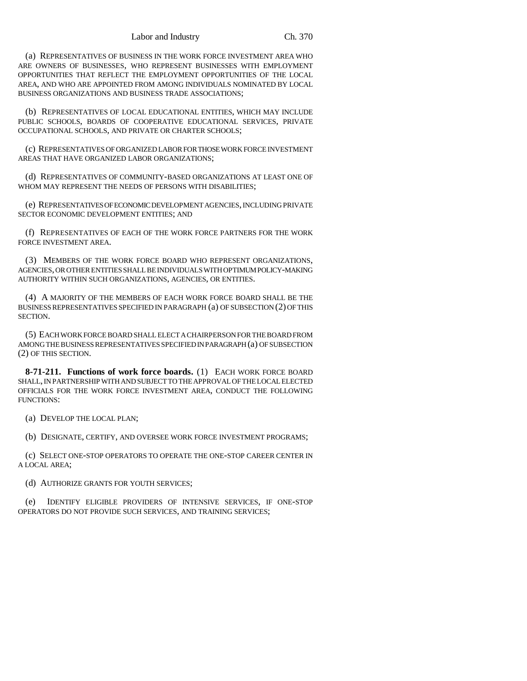(a) REPRESENTATIVES OF BUSINESS IN THE WORK FORCE INVESTMENT AREA WHO ARE OWNERS OF BUSINESSES, WHO REPRESENT BUSINESSES WITH EMPLOYMENT OPPORTUNITIES THAT REFLECT THE EMPLOYMENT OPPORTUNITIES OF THE LOCAL AREA, AND WHO ARE APPOINTED FROM AMONG INDIVIDUALS NOMINATED BY LOCAL BUSINESS ORGANIZATIONS AND BUSINESS TRADE ASSOCIATIONS;

(b) REPRESENTATIVES OF LOCAL EDUCATIONAL ENTITIES, WHICH MAY INCLUDE PUBLIC SCHOOLS, BOARDS OF COOPERATIVE EDUCATIONAL SERVICES, PRIVATE OCCUPATIONAL SCHOOLS, AND PRIVATE OR CHARTER SCHOOLS;

(c) REPRESENTATIVES OF ORGANIZED LABOR FOR THOSE WORK FORCE INVESTMENT AREAS THAT HAVE ORGANIZED LABOR ORGANIZATIONS;

(d) REPRESENTATIVES OF COMMUNITY-BASED ORGANIZATIONS AT LEAST ONE OF WHOM MAY REPRESENT THE NEEDS OF PERSONS WITH DISABILITIES:

(e) REPRESENTATIVES OF ECONOMIC DEVELOPMENT AGENCIES, INCLUDING PRIVATE SECTOR ECONOMIC DEVELOPMENT ENTITIES; AND

(f) REPRESENTATIVES OF EACH OF THE WORK FORCE PARTNERS FOR THE WORK FORCE INVESTMENT AREA.

(3) MEMBERS OF THE WORK FORCE BOARD WHO REPRESENT ORGANIZATIONS, AGENCIES, OR OTHER ENTITIES SHALL BE INDIVIDUALS WITH OPTIMUM POLICY-MAKING AUTHORITY WITHIN SUCH ORGANIZATIONS, AGENCIES, OR ENTITIES.

(4) A MAJORITY OF THE MEMBERS OF EACH WORK FORCE BOARD SHALL BE THE BUSINESS REPRESENTATIVES SPECIFIED IN PARAGRAPH (a) OF SUBSECTION (2) OF THIS SECTION.

(5) EACH WORK FORCE BOARD SHALL ELECT A CHAIRPERSON FOR THE BOARD FROM AMONG THE BUSINESS REPRESENTATIVES SPECIFIED IN PARAGRAPH (a) OF SUBSECTION (2) OF THIS SECTION.

**8-71-211. Functions of work force boards.** (1) EACH WORK FORCE BOARD SHALL, IN PARTNERSHIP WITH AND SUBJECT TO THE APPROVAL OF THE LOCAL ELECTED OFFICIALS FOR THE WORK FORCE INVESTMENT AREA, CONDUCT THE FOLLOWING FUNCTIONS:

(a) DEVELOP THE LOCAL PLAN;

(b) DESIGNATE, CERTIFY, AND OVERSEE WORK FORCE INVESTMENT PROGRAMS;

(c) SELECT ONE-STOP OPERATORS TO OPERATE THE ONE-STOP CAREER CENTER IN A LOCAL AREA;

(d) AUTHORIZE GRANTS FOR YOUTH SERVICES;

(e) IDENTIFY ELIGIBLE PROVIDERS OF INTENSIVE SERVICES, IF ONE-STOP OPERATORS DO NOT PROVIDE SUCH SERVICES, AND TRAINING SERVICES;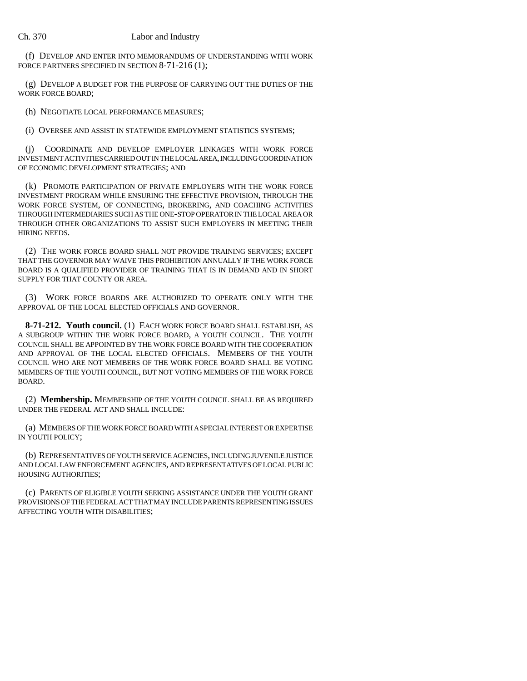(f) DEVELOP AND ENTER INTO MEMORANDUMS OF UNDERSTANDING WITH WORK FORCE PARTNERS SPECIFIED IN SECTION 8-71-216 (1);

(g) DEVELOP A BUDGET FOR THE PURPOSE OF CARRYING OUT THE DUTIES OF THE WORK FORCE BOARD;

(h) NEGOTIATE LOCAL PERFORMANCE MEASURES;

(i) OVERSEE AND ASSIST IN STATEWIDE EMPLOYMENT STATISTICS SYSTEMS;

(j) COORDINATE AND DEVELOP EMPLOYER LINKAGES WITH WORK FORCE INVESTMENT ACTIVITIES CARRIED OUT IN THE LOCAL AREA, INCLUDING COORDINATION OF ECONOMIC DEVELOPMENT STRATEGIES; AND

(k) PROMOTE PARTICIPATION OF PRIVATE EMPLOYERS WITH THE WORK FORCE INVESTMENT PROGRAM WHILE ENSURING THE EFFECTIVE PROVISION, THROUGH THE WORK FORCE SYSTEM, OF CONNECTING, BROKERING, AND COACHING ACTIVITIES THROUGH INTERMEDIARIES SUCH AS THE ONE-STOP OPERATOR IN THE LOCAL AREA OR THROUGH OTHER ORGANIZATIONS TO ASSIST SUCH EMPLOYERS IN MEETING THEIR HIRING NEEDS.

(2) THE WORK FORCE BOARD SHALL NOT PROVIDE TRAINING SERVICES; EXCEPT THAT THE GOVERNOR MAY WAIVE THIS PROHIBITION ANNUALLY IF THE WORK FORCE BOARD IS A QUALIFIED PROVIDER OF TRAINING THAT IS IN DEMAND AND IN SHORT SUPPLY FOR THAT COUNTY OR AREA.

(3) WORK FORCE BOARDS ARE AUTHORIZED TO OPERATE ONLY WITH THE APPROVAL OF THE LOCAL ELECTED OFFICIALS AND GOVERNOR.

**8-71-212. Youth council.** (1) EACH WORK FORCE BOARD SHALL ESTABLISH, AS A SUBGROUP WITHIN THE WORK FORCE BOARD, A YOUTH COUNCIL. THE YOUTH COUNCIL SHALL BE APPOINTED BY THE WORK FORCE BOARD WITH THE COOPERATION AND APPROVAL OF THE LOCAL ELECTED OFFICIALS. MEMBERS OF THE YOUTH COUNCIL WHO ARE NOT MEMBERS OF THE WORK FORCE BOARD SHALL BE VOTING MEMBERS OF THE YOUTH COUNCIL, BUT NOT VOTING MEMBERS OF THE WORK FORCE BOARD.

(2) **Membership.** MEMBERSHIP OF THE YOUTH COUNCIL SHALL BE AS REQUIRED UNDER THE FEDERAL ACT AND SHALL INCLUDE:

(a) MEMBERS OF THE WORK FORCE BOARD WITH A SPECIAL INTEREST OR EXPERTISE IN YOUTH POLICY;

(b) REPRESENTATIVES OF YOUTH SERVICE AGENCIES, INCLUDING JUVENILE JUSTICE AND LOCAL LAW ENFORCEMENT AGENCIES, AND REPRESENTATIVES OF LOCAL PUBLIC HOUSING AUTHORITIES;

(c) PARENTS OF ELIGIBLE YOUTH SEEKING ASSISTANCE UNDER THE YOUTH GRANT PROVISIONS OF THE FEDERAL ACT THAT MAY INCLUDE PARENTS REPRESENTING ISSUES AFFECTING YOUTH WITH DISABILITIES;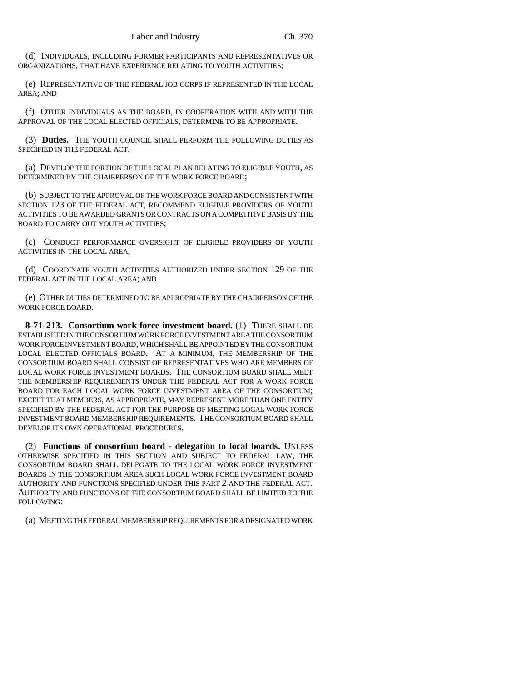(d) INDIVIDUALS, INCLUDING FORMER PARTICIPANTS AND REPRESENTATIVES OR ORGANIZATIONS, THAT HAVE EXPERIENCE RELATING TO YOUTH ACTIVITIES;

(e) REPRESENTATIVE OF THE FEDERAL JOB CORPS IF REPRESENTED IN THE LOCAL AREA; AND

(f) OTHER INDIVIDUALS AS THE BOARD, IN COOPERATION WITH AND WITH THE APPROVAL OF THE LOCAL ELECTED OFFICIALS, DETERMINE TO BE APPROPRIATE.

(3) **Duties.** THE YOUTH COUNCIL SHALL PERFORM THE FOLLOWING DUTIES AS SPECIFIED IN THE FEDERAL ACT:

(a) DEVELOP THE PORTION OF THE LOCAL PLAN RELATING TO ELIGIBLE YOUTH, AS DETERMINED BY THE CHAIRPERSON OF THE WORK FORCE BOARD;

(b) SUBJECT TO THE APPROVAL OF THE WORK FORCE BOARD AND CONSISTENT WITH SECTION 123 OF THE FEDERAL ACT, RECOMMEND ELIGIBLE PROVIDERS OF YOUTH ACTIVITIES TO BE AWARDED GRANTS OR CONTRACTS ON A COMPETITIVE BASIS BY THE BOARD TO CARRY OUT YOUTH ACTIVITIES;

(c) CONDUCT PERFORMANCE OVERSIGHT OF ELIGIBLE PROVIDERS OF YOUTH ACTIVITIES IN THE LOCAL AREA;

(d) COORDINATE YOUTH ACTIVITIES AUTHORIZED UNDER SECTION 129 OF THE FEDERAL ACT IN THE LOCAL AREA; AND

(e) OTHER DUTIES DETERMINED TO BE APPROPRIATE BY THE CHAIRPERSON OF THE WORK FORCE BOARD.

**8-71-213. Consortium work force investment board.** (1) THERE SHALL BE ESTABLISHED IN THE CONSORTIUM WORK FORCE INVESTMENT AREA THE CONSORTIUM WORK FORCE INVESTMENT BOARD, WHICH SHALL BE APPOINTED BY THE CONSORTIUM LOCAL ELECTED OFFICIALS BOARD. AT A MINIMUM, THE MEMBERSHIP OF THE CONSORTIUM BOARD SHALL CONSIST OF REPRESENTATIVES WHO ARE MEMBERS OF LOCAL WORK FORCE INVESTMENT BOARDS. THE CONSORTIUM BOARD SHALL MEET THE MEMBERSHIP REQUIREMENTS UNDER THE FEDERAL ACT FOR A WORK FORCE BOARD FOR EACH LOCAL WORK FORCE INVESTMENT AREA OF THE CONSORTIUM; EXCEPT THAT MEMBERS, AS APPROPRIATE, MAY REPRESENT MORE THAN ONE ENTITY SPECIFIED BY THE FEDERAL ACT FOR THE PURPOSE OF MEETING LOCAL WORK FORCE INVESTMENT BOARD MEMBERSHIP REQUIREMENTS. THE CONSORTIUM BOARD SHALL DEVELOP ITS OWN OPERATIONAL PROCEDURES.

(2) **Functions of consortium board - delegation to local boards.** UNLESS OTHERWISE SPECIFIED IN THIS SECTION AND SUBJECT TO FEDERAL LAW, THE CONSORTIUM BOARD SHALL DELEGATE TO THE LOCAL WORK FORCE INVESTMENT BOARDS IN THE CONSORTIUM AREA SUCH LOCAL WORK FORCE INVESTMENT BOARD AUTHORITY AND FUNCTIONS SPECIFIED UNDER THIS PART 2 AND THE FEDERAL ACT. AUTHORITY AND FUNCTIONS OF THE CONSORTIUM BOARD SHALL BE LIMITED TO THE FOLLOWING:

(a) MEETING THE FEDERAL MEMBERSHIP REQUIREMENTS FOR A DESIGNATED WORK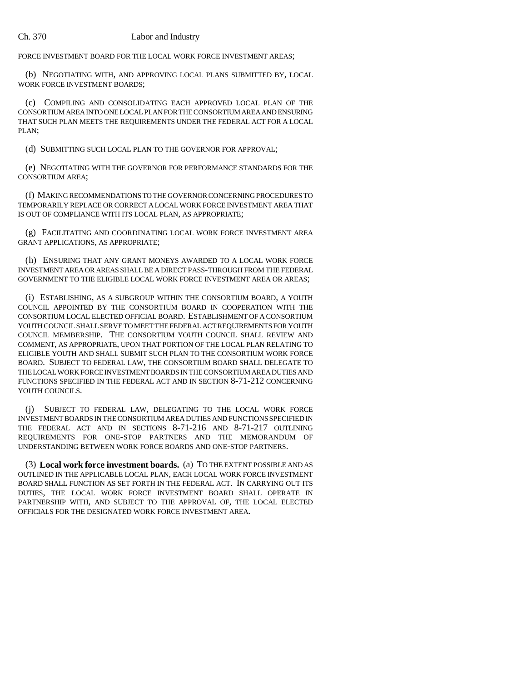FORCE INVESTMENT BOARD FOR THE LOCAL WORK FORCE INVESTMENT AREAS;

(b) NEGOTIATING WITH, AND APPROVING LOCAL PLANS SUBMITTED BY, LOCAL WORK FORCE INVESTMENT BOARDS;

(c) COMPILING AND CONSOLIDATING EACH APPROVED LOCAL PLAN OF THE CONSORTIUM AREA INTO ONE LOCAL PLAN FOR THE CONSORTIUM AREA AND ENSURING THAT SUCH PLAN MEETS THE REQUIREMENTS UNDER THE FEDERAL ACT FOR A LOCAL PLAN;

(d) SUBMITTING SUCH LOCAL PLAN TO THE GOVERNOR FOR APPROVAL;

(e) NEGOTIATING WITH THE GOVERNOR FOR PERFORMANCE STANDARDS FOR THE CONSORTIUM AREA;

(f) MAKING RECOMMENDATIONS TO THE GOVERNOR CONCERNING PROCEDURES TO TEMPORARILY REPLACE OR CORRECT A LOCAL WORK FORCE INVESTMENT AREA THAT IS OUT OF COMPLIANCE WITH ITS LOCAL PLAN, AS APPROPRIATE;

(g) FACILITATING AND COORDINATING LOCAL WORK FORCE INVESTMENT AREA GRANT APPLICATIONS, AS APPROPRIATE;

(h) ENSURING THAT ANY GRANT MONEYS AWARDED TO A LOCAL WORK FORCE INVESTMENT AREA OR AREAS SHALL BE A DIRECT PASS-THROUGH FROM THE FEDERAL GOVERNMENT TO THE ELIGIBLE LOCAL WORK FORCE INVESTMENT AREA OR AREAS;

(i) ESTABLISHING, AS A SUBGROUP WITHIN THE CONSORTIUM BOARD, A YOUTH COUNCIL APPOINTED BY THE CONSORTIUM BOARD IN COOPERATION WITH THE CONSORTIUM LOCAL ELECTED OFFICIAL BOARD. ESTABLISHMENT OF A CONSORTIUM YOUTH COUNCIL SHALL SERVE TO MEET THE FEDERAL ACT REQUIREMENTS FOR YOUTH COUNCIL MEMBERSHIP. THE CONSORTIUM YOUTH COUNCIL SHALL REVIEW AND COMMENT, AS APPROPRIATE, UPON THAT PORTION OF THE LOCAL PLAN RELATING TO ELIGIBLE YOUTH AND SHALL SUBMIT SUCH PLAN TO THE CONSORTIUM WORK FORCE BOARD. SUBJECT TO FEDERAL LAW, THE CONSORTIUM BOARD SHALL DELEGATE TO THE LOCAL WORK FORCE INVESTMENT BOARDS IN THE CONSORTIUM AREA DUTIES AND FUNCTIONS SPECIFIED IN THE FEDERAL ACT AND IN SECTION 8-71-212 CONCERNING YOUTH COUNCILS.

(j) SUBJECT TO FEDERAL LAW, DELEGATING TO THE LOCAL WORK FORCE INVESTMENT BOARDS IN THE CONSORTIUM AREA DUTIES AND FUNCTIONS SPECIFIED IN THE FEDERAL ACT AND IN SECTIONS 8-71-216 AND 8-71-217 OUTLINING REQUIREMENTS FOR ONE-STOP PARTNERS AND THE MEMORANDUM OF UNDERSTANDING BETWEEN WORK FORCE BOARDS AND ONE-STOP PARTNERS.

(3) **Local work force investment boards.** (a) TO THE EXTENT POSSIBLE AND AS OUTLINED IN THE APPLICABLE LOCAL PLAN, EACH LOCAL WORK FORCE INVESTMENT BOARD SHALL FUNCTION AS SET FORTH IN THE FEDERAL ACT. IN CARRYING OUT ITS DUTIES, THE LOCAL WORK FORCE INVESTMENT BOARD SHALL OPERATE IN PARTNERSHIP WITH, AND SUBJECT TO THE APPROVAL OF, THE LOCAL ELECTED OFFICIALS FOR THE DESIGNATED WORK FORCE INVESTMENT AREA.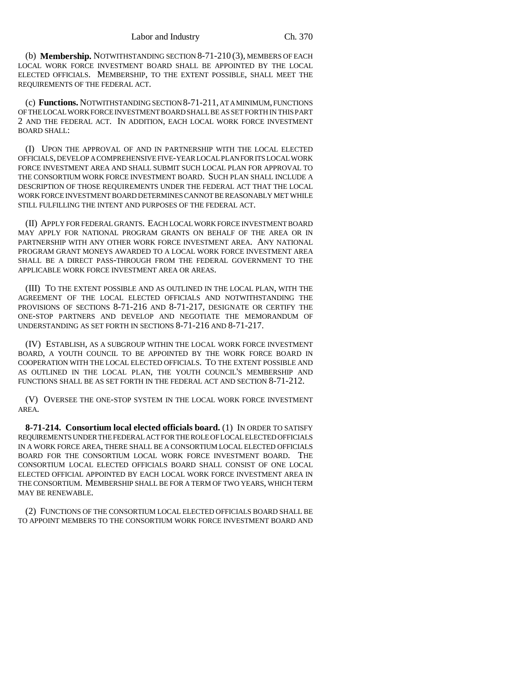(b) **Membership.** NOTWITHSTANDING SECTION 8-71-210 (3), MEMBERS OF EACH LOCAL WORK FORCE INVESTMENT BOARD SHALL BE APPOINTED BY THE LOCAL ELECTED OFFICIALS. MEMBERSHIP, TO THE EXTENT POSSIBLE, SHALL MEET THE REQUIREMENTS OF THE FEDERAL ACT.

(c) **Functions.** NOTWITHSTANDING SECTION 8-71-211, AT A MINIMUM, FUNCTIONS OF THE LOCAL WORK FORCE INVESTMENT BOARD SHALL BE AS SET FORTH IN THIS PART 2 AND THE FEDERAL ACT. IN ADDITION, EACH LOCAL WORK FORCE INVESTMENT BOARD SHALL:

(I) UPON THE APPROVAL OF AND IN PARTNERSHIP WITH THE LOCAL ELECTED OFFICIALS, DEVELOP A COMPREHENSIVE FIVE-YEAR LOCAL PLAN FOR ITS LOCAL WORK FORCE INVESTMENT AREA AND SHALL SUBMIT SUCH LOCAL PLAN FOR APPROVAL TO THE CONSORTIUM WORK FORCE INVESTMENT BOARD. SUCH PLAN SHALL INCLUDE A DESCRIPTION OF THOSE REQUIREMENTS UNDER THE FEDERAL ACT THAT THE LOCAL WORK FORCE INVESTMENT BOARD DETERMINES CANNOT BE REASONABLY MET WHILE STILL FULFILLING THE INTENT AND PURPOSES OF THE FEDERAL ACT.

(II) APPLY FOR FEDERAL GRANTS. EACH LOCAL WORK FORCE INVESTMENT BOARD MAY APPLY FOR NATIONAL PROGRAM GRANTS ON BEHALF OF THE AREA OR IN PARTNERSHIP WITH ANY OTHER WORK FORCE INVESTMENT AREA. ANY NATIONAL PROGRAM GRANT MONEYS AWARDED TO A LOCAL WORK FORCE INVESTMENT AREA SHALL BE A DIRECT PASS-THROUGH FROM THE FEDERAL GOVERNMENT TO THE APPLICABLE WORK FORCE INVESTMENT AREA OR AREAS.

(III) TO THE EXTENT POSSIBLE AND AS OUTLINED IN THE LOCAL PLAN, WITH THE AGREEMENT OF THE LOCAL ELECTED OFFICIALS AND NOTWITHSTANDING THE PROVISIONS OF SECTIONS 8-71-216 AND 8-71-217, DESIGNATE OR CERTIFY THE ONE-STOP PARTNERS AND DEVELOP AND NEGOTIATE THE MEMORANDUM OF UNDERSTANDING AS SET FORTH IN SECTIONS 8-71-216 AND 8-71-217.

(IV) ESTABLISH, AS A SUBGROUP WITHIN THE LOCAL WORK FORCE INVESTMENT BOARD, A YOUTH COUNCIL TO BE APPOINTED BY THE WORK FORCE BOARD IN COOPERATION WITH THE LOCAL ELECTED OFFICIALS. TO THE EXTENT POSSIBLE AND AS OUTLINED IN THE LOCAL PLAN, THE YOUTH COUNCIL'S MEMBERSHIP AND FUNCTIONS SHALL BE AS SET FORTH IN THE FEDERAL ACT AND SECTION 8-71-212.

(V) OVERSEE THE ONE-STOP SYSTEM IN THE LOCAL WORK FORCE INVESTMENT AREA.

**8-71-214. Consortium local elected officials board.** (1) IN ORDER TO SATISFY REQUIREMENTS UNDER THE FEDERAL ACT FOR THE ROLE OF LOCAL ELECTED OFFICIALS IN A WORK FORCE AREA, THERE SHALL BE A CONSORTIUM LOCAL ELECTED OFFICIALS BOARD FOR THE CONSORTIUM LOCAL WORK FORCE INVESTMENT BOARD. THE CONSORTIUM LOCAL ELECTED OFFICIALS BOARD SHALL CONSIST OF ONE LOCAL ELECTED OFFICIAL APPOINTED BY EACH LOCAL WORK FORCE INVESTMENT AREA IN THE CONSORTIUM. MEMBERSHIP SHALL BE FOR A TERM OF TWO YEARS, WHICH TERM MAY BE RENEWABLE.

(2) FUNCTIONS OF THE CONSORTIUM LOCAL ELECTED OFFICIALS BOARD SHALL BE TO APPOINT MEMBERS TO THE CONSORTIUM WORK FORCE INVESTMENT BOARD AND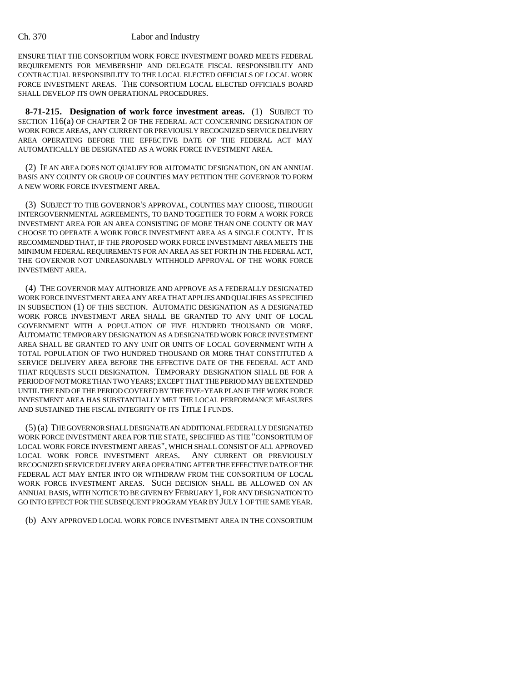ENSURE THAT THE CONSORTIUM WORK FORCE INVESTMENT BOARD MEETS FEDERAL REQUIREMENTS FOR MEMBERSHIP AND DELEGATE FISCAL RESPONSIBILITY AND CONTRACTUAL RESPONSIBILITY TO THE LOCAL ELECTED OFFICIALS OF LOCAL WORK FORCE INVESTMENT AREAS. THE CONSORTIUM LOCAL ELECTED OFFICIALS BOARD SHALL DEVELOP ITS OWN OPERATIONAL PROCEDURES.

**8-71-215. Designation of work force investment areas.** (1) SUBJECT TO SECTION 116(a) OF CHAPTER 2 OF THE FEDERAL ACT CONCERNING DESIGNATION OF WORK FORCE AREAS, ANY CURRENT OR PREVIOUSLY RECOGNIZED SERVICE DELIVERY AREA OPERATING BEFORE THE EFFECTIVE DATE OF THE FEDERAL ACT MAY AUTOMATICALLY BE DESIGNATED AS A WORK FORCE INVESTMENT AREA.

(2) IF AN AREA DOES NOT QUALIFY FOR AUTOMATIC DESIGNATION, ON AN ANNUAL BASIS ANY COUNTY OR GROUP OF COUNTIES MAY PETITION THE GOVERNOR TO FORM A NEW WORK FORCE INVESTMENT AREA.

(3) SUBJECT TO THE GOVERNOR'S APPROVAL, COUNTIES MAY CHOOSE, THROUGH INTERGOVERNMENTAL AGREEMENTS, TO BAND TOGETHER TO FORM A WORK FORCE INVESTMENT AREA FOR AN AREA CONSISTING OF MORE THAN ONE COUNTY OR MAY CHOOSE TO OPERATE A WORK FORCE INVESTMENT AREA AS A SINGLE COUNTY. IT IS RECOMMENDED THAT, IF THE PROPOSED WORK FORCE INVESTMENT AREA MEETS THE MINIMUM FEDERAL REQUIREMENTS FOR AN AREA AS SET FORTH IN THE FEDERAL ACT, THE GOVERNOR NOT UNREASONABLY WITHHOLD APPROVAL OF THE WORK FORCE INVESTMENT AREA.

(4) THE GOVERNOR MAY AUTHORIZE AND APPROVE AS A FEDERALLY DESIGNATED WORK FORCE INVESTMENT AREA ANY AREA THAT APPLIES AND QUALIFIES AS SPECIFIED IN SUBSECTION (1) OF THIS SECTION. AUTOMATIC DESIGNATION AS A DESIGNATED WORK FORCE INVESTMENT AREA SHALL BE GRANTED TO ANY UNIT OF LOCAL GOVERNMENT WITH A POPULATION OF FIVE HUNDRED THOUSAND OR MORE. AUTOMATIC TEMPORARY DESIGNATION AS A DESIGNATED WORK FORCE INVESTMENT AREA SHALL BE GRANTED TO ANY UNIT OR UNITS OF LOCAL GOVERNMENT WITH A TOTAL POPULATION OF TWO HUNDRED THOUSAND OR MORE THAT CONSTITUTED A SERVICE DELIVERY AREA BEFORE THE EFFECTIVE DATE OF THE FEDERAL ACT AND THAT REQUESTS SUCH DESIGNATION. TEMPORARY DESIGNATION SHALL BE FOR A PERIOD OF NOT MORE THAN TWO YEARS; EXCEPT THAT THE PERIOD MAY BE EXTENDED UNTIL THE END OF THE PERIOD COVERED BY THE FIVE-YEAR PLAN IF THE WORK FORCE INVESTMENT AREA HAS SUBSTANTIALLY MET THE LOCAL PERFORMANCE MEASURES AND SUSTAINED THE FISCAL INTEGRITY OF ITS TITLE I FUNDS.

(5) (a) THE GOVERNOR SHALL DESIGNATE AN ADDITIONAL FEDERALLY DESIGNATED WORK FORCE INVESTMENT AREA FOR THE STATE, SPECIFIED AS THE "CONSORTIUM OF LOCAL WORK FORCE INVESTMENT AREAS", WHICH SHALL CONSIST OF ALL APPROVED LOCAL WORK FORCE INVESTMENT AREAS. ANY CURRENT OR PREVIOUSLY RECOGNIZED SERVICE DELIVERY AREA OPERATING AFTER THE EFFECTIVE DATE OF THE FEDERAL ACT MAY ENTER INTO OR WITHDRAW FROM THE CONSORTIUM OF LOCAL WORK FORCE INVESTMENT AREAS. SUCH DECISION SHALL BE ALLOWED ON AN ANNUAL BASIS, WITH NOTICE TO BE GIVEN BY FEBRUARY 1, FOR ANY DESIGNATION TO GO INTO EFFECT FOR THE SUBSEQUENT PROGRAM YEAR BY JULY 1 OF THE SAME YEAR.

(b) ANY APPROVED LOCAL WORK FORCE INVESTMENT AREA IN THE CONSORTIUM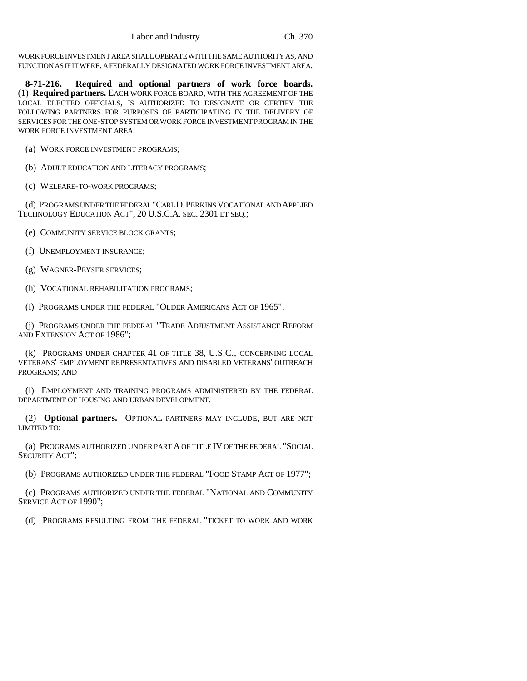WORK FORCE INVESTMENT AREA SHALL OPERATE WITH THE SAME AUTHORITY AS, AND FUNCTION AS IF IT WERE, A FEDERALLY DESIGNATED WORK FORCE INVESTMENT AREA.

**8-71-216. Required and optional partners of work force boards.** (1) **Required partners.** EACH WORK FORCE BOARD, WITH THE AGREEMENT OF THE LOCAL ELECTED OFFICIALS, IS AUTHORIZED TO DESIGNATE OR CERTIFY THE FOLLOWING PARTNERS FOR PURPOSES OF PARTICIPATING IN THE DELIVERY OF SERVICES FOR THE ONE-STOP SYSTEM OR WORK FORCE INVESTMENT PROGRAM IN THE WORK FORCE INVESTMENT AREA:

- (a) WORK FORCE INVESTMENT PROGRAMS;
- (b) ADULT EDUCATION AND LITERACY PROGRAMS;
- (c) WELFARE-TO-WORK PROGRAMS;

(d) PROGRAMS UNDER THE FEDERAL "CARL D.PERKINS VOCATIONAL AND APPLIED TECHNOLOGY EDUCATION ACT", 20 U.S.C.A. SEC. 2301 ET SEQ.;

- (e) COMMUNITY SERVICE BLOCK GRANTS;
- (f) UNEMPLOYMENT INSURANCE;
- (g) WAGNER-PEYSER SERVICES;
- (h) VOCATIONAL REHABILITATION PROGRAMS;
- (i) PROGRAMS UNDER THE FEDERAL "OLDER AMERICANS ACT OF 1965";

(j) PROGRAMS UNDER THE FEDERAL "TRADE ADJUSTMENT ASSISTANCE REFORM AND EXTENSION ACT OF 1986";

(k) PROGRAMS UNDER CHAPTER 41 OF TITLE 38, U.S.C., CONCERNING LOCAL VETERANS' EMPLOYMENT REPRESENTATIVES AND DISABLED VETERANS' OUTREACH PROGRAMS; AND

(l) EMPLOYMENT AND TRAINING PROGRAMS ADMINISTERED BY THE FEDERAL DEPARTMENT OF HOUSING AND URBAN DEVELOPMENT.

(2) **Optional partners.** OPTIONAL PARTNERS MAY INCLUDE, BUT ARE NOT LIMITED TO:

(a) PROGRAMS AUTHORIZED UNDER PART A OF TITLE IV OF THE FEDERAL "SOCIAL SECURITY ACT";

(b) PROGRAMS AUTHORIZED UNDER THE FEDERAL "FOOD STAMP ACT OF 1977";

(c) PROGRAMS AUTHORIZED UNDER THE FEDERAL "NATIONAL AND COMMUNITY SERVICE ACT OF 1990";

(d) PROGRAMS RESULTING FROM THE FEDERAL "TICKET TO WORK AND WORK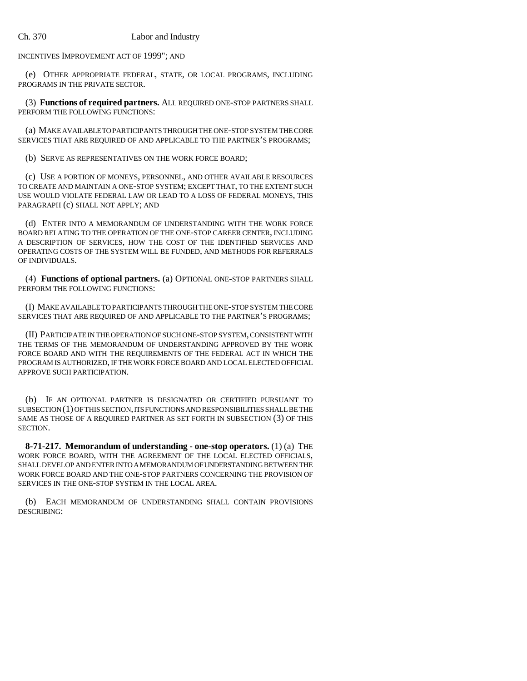INCENTIVES IMPROVEMENT ACT OF 1999"; AND

(e) OTHER APPROPRIATE FEDERAL, STATE, OR LOCAL PROGRAMS, INCLUDING PROGRAMS IN THE PRIVATE SECTOR.

(3) **Functions of required partners.** ALL REQUIRED ONE-STOP PARTNERS SHALL PERFORM THE FOLLOWING FUNCTIONS:

(a) MAKE AVAILABLE TO PARTICIPANTS THROUGH THE ONE-STOP SYSTEM THE CORE SERVICES THAT ARE REQUIRED OF AND APPLICABLE TO THE PARTNER'S PROGRAMS;

(b) SERVE AS REPRESENTATIVES ON THE WORK FORCE BOARD;

(c) USE A PORTION OF MONEYS, PERSONNEL, AND OTHER AVAILABLE RESOURCES TO CREATE AND MAINTAIN A ONE-STOP SYSTEM; EXCEPT THAT, TO THE EXTENT SUCH USE WOULD VIOLATE FEDERAL LAW OR LEAD TO A LOSS OF FEDERAL MONEYS, THIS PARAGRAPH (c) SHALL NOT APPLY; AND

(d) ENTER INTO A MEMORANDUM OF UNDERSTANDING WITH THE WORK FORCE BOARD RELATING TO THE OPERATION OF THE ONE-STOP CAREER CENTER, INCLUDING A DESCRIPTION OF SERVICES, HOW THE COST OF THE IDENTIFIED SERVICES AND OPERATING COSTS OF THE SYSTEM WILL BE FUNDED, AND METHODS FOR REFERRALS OF INDIVIDUALS.

(4) **Functions of optional partners.** (a) OPTIONAL ONE-STOP PARTNERS SHALL PERFORM THE FOLLOWING FUNCTIONS:

(I) MAKE AVAILABLE TO PARTICIPANTS THROUGH THE ONE-STOP SYSTEM THE CORE SERVICES THAT ARE REQUIRED OF AND APPLICABLE TO THE PARTNER'S PROGRAMS;

(II) PARTICIPATE IN THE OPERATION OF SUCH ONE-STOP SYSTEM, CONSISTENT WITH THE TERMS OF THE MEMORANDUM OF UNDERSTANDING APPROVED BY THE WORK FORCE BOARD AND WITH THE REQUIREMENTS OF THE FEDERAL ACT IN WHICH THE PROGRAM IS AUTHORIZED, IF THE WORK FORCE BOARD AND LOCAL ELECTED OFFICIAL APPROVE SUCH PARTICIPATION.

(b) IF AN OPTIONAL PARTNER IS DESIGNATED OR CERTIFIED PURSUANT TO SUBSECTION (1) OF THIS SECTION, ITS FUNCTIONS AND RESPONSIBILITIES SHALL BE THE SAME AS THOSE OF A REQUIRED PARTNER AS SET FORTH IN SUBSECTION (3) OF THIS SECTION.

**8-71-217. Memorandum of understanding - one-stop operators.** (1) (a) THE WORK FORCE BOARD, WITH THE AGREEMENT OF THE LOCAL ELECTED OFFICIALS, SHALL DEVELOP AND ENTER INTO A MEMORANDUM OF UNDERSTANDING BETWEEN THE WORK FORCE BOARD AND THE ONE-STOP PARTNERS CONCERNING THE PROVISION OF SERVICES IN THE ONE-STOP SYSTEM IN THE LOCAL AREA.

(b) EACH MEMORANDUM OF UNDERSTANDING SHALL CONTAIN PROVISIONS DESCRIBING: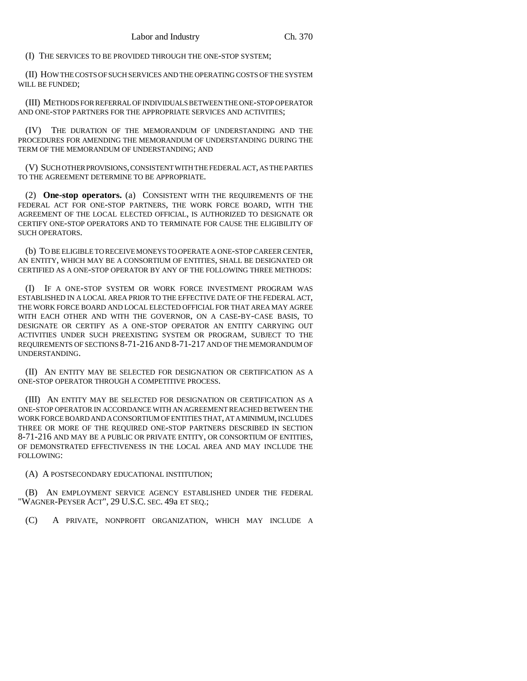(I) THE SERVICES TO BE PROVIDED THROUGH THE ONE-STOP SYSTEM;

(II) HOW THE COSTS OF SUCH SERVICES AND THE OPERATING COSTS OF THE SYSTEM WILL BE FUNDED;

(III) METHODS FOR REFERRAL OF INDIVIDUALS BETWEEN THE ONE-STOP OPERATOR AND ONE-STOP PARTNERS FOR THE APPROPRIATE SERVICES AND ACTIVITIES;

(IV) THE DURATION OF THE MEMORANDUM OF UNDERSTANDING AND THE PROCEDURES FOR AMENDING THE MEMORANDUM OF UNDERSTANDING DURING THE TERM OF THE MEMORANDUM OF UNDERSTANDING; AND

(V) SUCH OTHER PROVISIONS, CONSISTENT WITH THE FEDERAL ACT, AS THE PARTIES TO THE AGREEMENT DETERMINE TO BE APPROPRIATE.

(2) **One-stop operators.** (a) CONSISTENT WITH THE REQUIREMENTS OF THE FEDERAL ACT FOR ONE-STOP PARTNERS, THE WORK FORCE BOARD, WITH THE AGREEMENT OF THE LOCAL ELECTED OFFICIAL, IS AUTHORIZED TO DESIGNATE OR CERTIFY ONE-STOP OPERATORS AND TO TERMINATE FOR CAUSE THE ELIGIBILITY OF SUCH OPERATORS.

(b) TO BE ELIGIBLE TO RECEIVE MONEYS TO OPERATE A ONE-STOP CAREER CENTER, AN ENTITY, WHICH MAY BE A CONSORTIUM OF ENTITIES, SHALL BE DESIGNATED OR CERTIFIED AS A ONE-STOP OPERATOR BY ANY OF THE FOLLOWING THREE METHODS:

(I) IF A ONE-STOP SYSTEM OR WORK FORCE INVESTMENT PROGRAM WAS ESTABLISHED IN A LOCAL AREA PRIOR TO THE EFFECTIVE DATE OF THE FEDERAL ACT, THE WORK FORCE BOARD AND LOCAL ELECTED OFFICIAL FOR THAT AREA MAY AGREE WITH EACH OTHER AND WITH THE GOVERNOR, ON A CASE-BY-CASE BASIS, TO DESIGNATE OR CERTIFY AS A ONE-STOP OPERATOR AN ENTITY CARRYING OUT ACTIVITIES UNDER SUCH PREEXISTING SYSTEM OR PROGRAM, SUBJECT TO THE REQUIREMENTS OF SECTIONS 8-71-216 AND 8-71-217 AND OF THE MEMORANDUM OF UNDERSTANDING.

(II) AN ENTITY MAY BE SELECTED FOR DESIGNATION OR CERTIFICATION AS A ONE-STOP OPERATOR THROUGH A COMPETITIVE PROCESS.

(III) AN ENTITY MAY BE SELECTED FOR DESIGNATION OR CERTIFICATION AS A ONE-STOP OPERATOR IN ACCORDANCE WITH AN AGREEMENT REACHED BETWEEN THE WORK FORCE BOARD AND A CONSORTIUM OF ENTITIES THAT, AT A MINIMUM, INCLUDES THREE OR MORE OF THE REQUIRED ONE-STOP PARTNERS DESCRIBED IN SECTION 8-71-216 AND MAY BE A PUBLIC OR PRIVATE ENTITY, OR CONSORTIUM OF ENTITIES, OF DEMONSTRATED EFFECTIVENESS IN THE LOCAL AREA AND MAY INCLUDE THE FOLLOWING:

(A) A POSTSECONDARY EDUCATIONAL INSTITUTION;

(B) AN EMPLOYMENT SERVICE AGENCY ESTABLISHED UNDER THE FEDERAL "WAGNER-PEYSER ACT", 29 U.S.C. SEC. 49a ET SEQ.;

(C) A PRIVATE, NONPROFIT ORGANIZATION, WHICH MAY INCLUDE A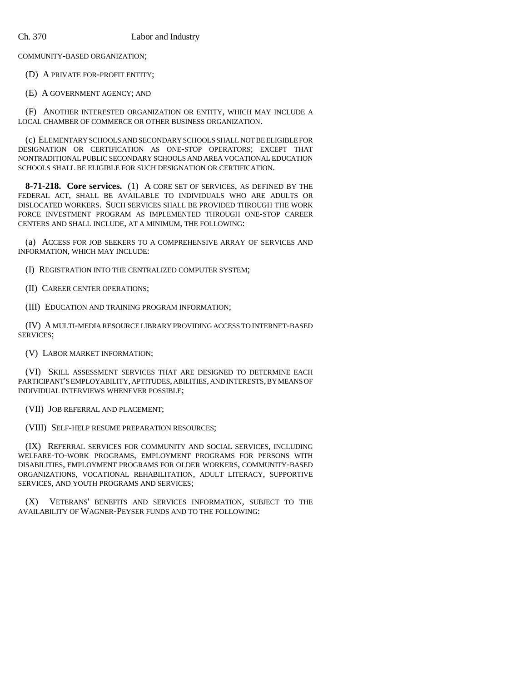COMMUNITY-BASED ORGANIZATION;

(D) A PRIVATE FOR-PROFIT ENTITY;

(E) A GOVERNMENT AGENCY; AND

(F) ANOTHER INTERESTED ORGANIZATION OR ENTITY, WHICH MAY INCLUDE A LOCAL CHAMBER OF COMMERCE OR OTHER BUSINESS ORGANIZATION.

(c) ELEMENTARY SCHOOLS AND SECONDARY SCHOOLS SHALL NOT BE ELIGIBLE FOR DESIGNATION OR CERTIFICATION AS ONE-STOP OPERATORS; EXCEPT THAT NONTRADITIONAL PUBLIC SECONDARY SCHOOLS AND AREA VOCATIONAL EDUCATION SCHOOLS SHALL BE ELIGIBLE FOR SUCH DESIGNATION OR CERTIFICATION.

**8-71-218. Core services.** (1) A CORE SET OF SERVICES, AS DEFINED BY THE FEDERAL ACT, SHALL BE AVAILABLE TO INDIVIDUALS WHO ARE ADULTS OR DISLOCATED WORKERS. SUCH SERVICES SHALL BE PROVIDED THROUGH THE WORK FORCE INVESTMENT PROGRAM AS IMPLEMENTED THROUGH ONE-STOP CAREER CENTERS AND SHALL INCLUDE, AT A MINIMUM, THE FOLLOWING:

(a) ACCESS FOR JOB SEEKERS TO A COMPREHENSIVE ARRAY OF SERVICES AND INFORMATION, WHICH MAY INCLUDE:

(I) REGISTRATION INTO THE CENTRALIZED COMPUTER SYSTEM;

(II) CAREER CENTER OPERATIONS;

(III) EDUCATION AND TRAINING PROGRAM INFORMATION;

(IV) A MULTI-MEDIA RESOURCE LIBRARY PROVIDING ACCESS TO INTERNET-BASED SERVICES;

(V) LABOR MARKET INFORMATION;

(VI) SKILL ASSESSMENT SERVICES THAT ARE DESIGNED TO DETERMINE EACH PARTICIPANT'S EMPLOYABILITY, APTITUDES, ABILITIES, AND INTERESTS, BY MEANS OF INDIVIDUAL INTERVIEWS WHENEVER POSSIBLE;

(VII) JOB REFERRAL AND PLACEMENT;

(VIII) SELF-HELP RESUME PREPARATION RESOURCES;

(IX) REFERRAL SERVICES FOR COMMUNITY AND SOCIAL SERVICES, INCLUDING WELFARE-TO-WORK PROGRAMS, EMPLOYMENT PROGRAMS FOR PERSONS WITH DISABILITIES, EMPLOYMENT PROGRAMS FOR OLDER WORKERS, COMMUNITY-BASED ORGANIZATIONS, VOCATIONAL REHABILITATION, ADULT LITERACY, SUPPORTIVE SERVICES, AND YOUTH PROGRAMS AND SERVICES;

(X) VETERANS' BENEFITS AND SERVICES INFORMATION, SUBJECT TO THE AVAILABILITY OF WAGNER-PEYSER FUNDS AND TO THE FOLLOWING: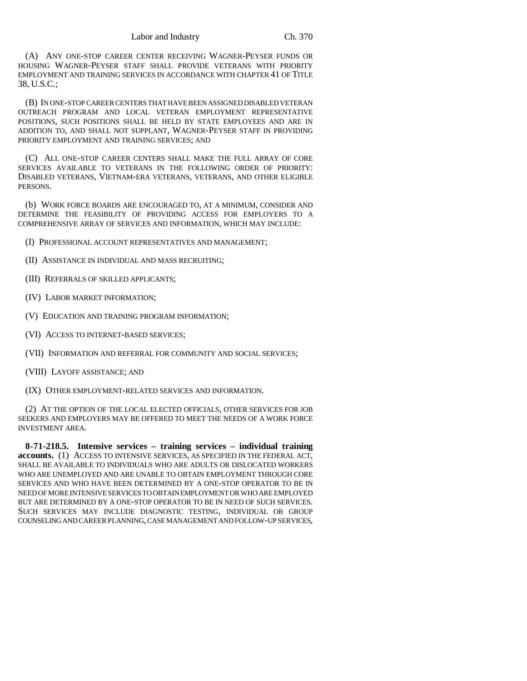(A) ANY ONE-STOP CAREER CENTER RECEIVING WAGNER-PEYSER FUNDS OR HOUSING WAGNER-PEYSER STAFF SHALL PROVIDE VETERANS WITH PRIORITY EMPLOYMENT AND TRAINING SERVICES IN ACCORDANCE WITH CHAPTER 41 OF TITLE 38, U.S.C.;

(B) IN ONE-STOP CAREER CENTERS THAT HAVE BEEN ASSIGNED DISABLED VETERAN OUTREACH PROGRAM AND LOCAL VETERAN EMPLOYMENT REPRESENTATIVE POSITIONS, SUCH POSITIONS SHALL BE HELD BY STATE EMPLOYEES AND ARE IN ADDITION TO, AND SHALL NOT SUPPLANT, WAGNER-PEYSER STAFF IN PROVIDING PRIORITY EMPLOYMENT AND TRAINING SERVICES; AND

(C) ALL ONE-STOP CAREER CENTERS SHALL MAKE THE FULL ARRAY OF CORE SERVICES AVAILABLE TO VETERANS IN THE FOLLOWING ORDER OF PRIORITY: DISABLED VETERANS, VIETNAM-ERA VETERANS, VETERANS, AND OTHER ELIGIBLE PERSONS.

(b) WORK FORCE BOARDS ARE ENCOURAGED TO, AT A MINIMUM, CONSIDER AND DETERMINE THE FEASIBILITY OF PROVIDING ACCESS FOR EMPLOYERS TO A COMPREHENSIVE ARRAY OF SERVICES AND INFORMATION, WHICH MAY INCLUDE:

(I) PROFESSIONAL ACCOUNT REPRESENTATIVES AND MANAGEMENT;

(II) ASSISTANCE IN INDIVIDUAL AND MASS RECRUITING;

(III) REFERRALS OF SKILLED APPLICANTS;

(IV) LABOR MARKET INFORMATION;

(V) EDUCATION AND TRAINING PROGRAM INFORMATION;

(VI) ACCESS TO INTERNET-BASED SERVICES;

(VII) INFORMATION AND REFERRAL FOR COMMUNITY AND SOCIAL SERVICES;

(VIII) LAYOFF ASSISTANCE; AND

(IX) OTHER EMPLOYMENT-RELATED SERVICES AND INFORMATION.

(2) AT THE OPTION OF THE LOCAL ELECTED OFFICIALS, OTHER SERVICES FOR JOB SEEKERS AND EMPLOYERS MAY BE OFFERED TO MEET THE NEEDS OF A WORK FORCE INVESTMENT AREA.

**8-71-218.5. Intensive services – training services – individual training accounts.** (1) ACCESS TO INTENSIVE SERVICES, AS SPECIFIED IN THE FEDERAL ACT, SHALL BE AVAILABLE TO INDIVIDUALS WHO ARE ADULTS OR DISLOCATED WORKERS WHO ARE UNEMPLOYED AND ARE UNABLE TO OBTAIN EMPLOYMENT THROUGH CORE SERVICES AND WHO HAVE BEEN DETERMINED BY A ONE-STOP OPERATOR TO BE IN NEED OF MORE INTENSIVE SERVICES TO OBTAIN EMPLOYMENT OR WHO ARE EMPLOYED BUT ARE DETERMINED BY A ONE-STOP OPERATOR TO BE IN NEED OF SUCH SERVICES. SUCH SERVICES MAY INCLUDE DIAGNOSTIC TESTING, INDIVIDUAL OR GROUP COUNSELING AND CAREER PLANNING, CASE MANAGEMENT AND FOLLOW-UP SERVICES,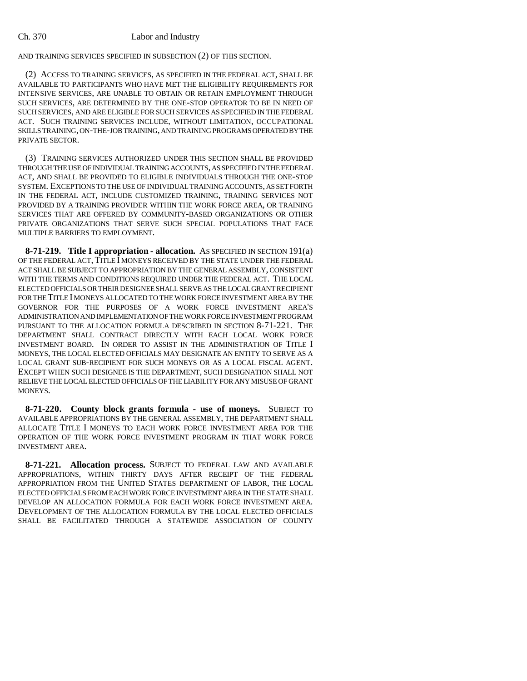AND TRAINING SERVICES SPECIFIED IN SUBSECTION (2) OF THIS SECTION.

(2) ACCESS TO TRAINING SERVICES, AS SPECIFIED IN THE FEDERAL ACT, SHALL BE AVAILABLE TO PARTICIPANTS WHO HAVE MET THE ELIGIBILITY REQUIREMENTS FOR INTENSIVE SERVICES, ARE UNABLE TO OBTAIN OR RETAIN EMPLOYMENT THROUGH SUCH SERVICES, ARE DETERMINED BY THE ONE-STOP OPERATOR TO BE IN NEED OF SUCH SERVICES, AND ARE ELIGIBLE FOR SUCH SERVICES AS SPECIFIED IN THE FEDERAL ACT. SUCH TRAINING SERVICES INCLUDE, WITHOUT LIMITATION, OCCUPATIONAL SKILLS TRAINING, ON-THE-JOB TRAINING, AND TRAINING PROGRAMS OPERATED BY THE PRIVATE SECTOR.

(3) TRAINING SERVICES AUTHORIZED UNDER THIS SECTION SHALL BE PROVIDED THROUGH THE USE OF INDIVIDUAL TRAINING ACCOUNTS, AS SPECIFIED IN THE FEDERAL ACT, AND SHALL BE PROVIDED TO ELIGIBLE INDIVIDUALS THROUGH THE ONE-STOP SYSTEM. EXCEPTIONS TO THE USE OF INDIVIDUAL TRAINING ACCOUNTS, AS SET FORTH IN THE FEDERAL ACT, INCLUDE CUSTOMIZED TRAINING, TRAINING SERVICES NOT PROVIDED BY A TRAINING PROVIDER WITHIN THE WORK FORCE AREA, OR TRAINING SERVICES THAT ARE OFFERED BY COMMUNITY-BASED ORGANIZATIONS OR OTHER PRIVATE ORGANIZATIONS THAT SERVE SUCH SPECIAL POPULATIONS THAT FACE MULTIPLE BARRIERS TO EMPLOYMENT.

**8-71-219. Title I appropriation - allocation.** AS SPECIFIED IN SECTION 191(a) OF THE FEDERAL ACT, TITLE I MONEYS RECEIVED BY THE STATE UNDER THE FEDERAL ACT SHALL BE SUBJECT TO APPROPRIATION BY THE GENERAL ASSEMBLY, CONSISTENT WITH THE TERMS AND CONDITIONS REQUIRED UNDER THE FEDERAL ACT. THE LOCAL ELECTED OFFICIALS OR THEIR DESIGNEE SHALL SERVE AS THE LOCAL GRANT RECIPIENT FOR THE TITLE I MONEYS ALLOCATED TO THE WORK FORCE INVESTMENT AREA BY THE GOVERNOR FOR THE PURPOSES OF A WORK FORCE INVESTMENT AREA'S ADMINISTRATION AND IMPLEMENTATION OF THE WORK FORCE INVESTMENT PROGRAM PURSUANT TO THE ALLOCATION FORMULA DESCRIBED IN SECTION 8-71-221. THE DEPARTMENT SHALL CONTRACT DIRECTLY WITH EACH LOCAL WORK FORCE INVESTMENT BOARD. IN ORDER TO ASSIST IN THE ADMINISTRATION OF TITLE I MONEYS, THE LOCAL ELECTED OFFICIALS MAY DESIGNATE AN ENTITY TO SERVE AS A LOCAL GRANT SUB-RECIPIENT FOR SUCH MONEYS OR AS A LOCAL FISCAL AGENT. EXCEPT WHEN SUCH DESIGNEE IS THE DEPARTMENT, SUCH DESIGNATION SHALL NOT RELIEVE THE LOCAL ELECTED OFFICIALS OF THE LIABILITY FOR ANY MISUSE OF GRANT MONEYS.

**8-71-220. County block grants formula - use of moneys.** SUBJECT TO AVAILABLE APPROPRIATIONS BY THE GENERAL ASSEMBLY, THE DEPARTMENT SHALL ALLOCATE TITLE I MONEYS TO EACH WORK FORCE INVESTMENT AREA FOR THE OPERATION OF THE WORK FORCE INVESTMENT PROGRAM IN THAT WORK FORCE INVESTMENT AREA.

**8-71-221. Allocation process.** SUBJECT TO FEDERAL LAW AND AVAILABLE APPROPRIATIONS, WITHIN THIRTY DAYS AFTER RECEIPT OF THE FEDERAL APPROPRIATION FROM THE UNITED STATES DEPARTMENT OF LABOR, THE LOCAL ELECTED OFFICIALS FROM EACH WORK FORCE INVESTMENT AREA IN THE STATE SHALL DEVELOP AN ALLOCATION FORMULA FOR EACH WORK FORCE INVESTMENT AREA. DEVELOPMENT OF THE ALLOCATION FORMULA BY THE LOCAL ELECTED OFFICIALS SHALL BE FACILITATED THROUGH A STATEWIDE ASSOCIATION OF COUNTY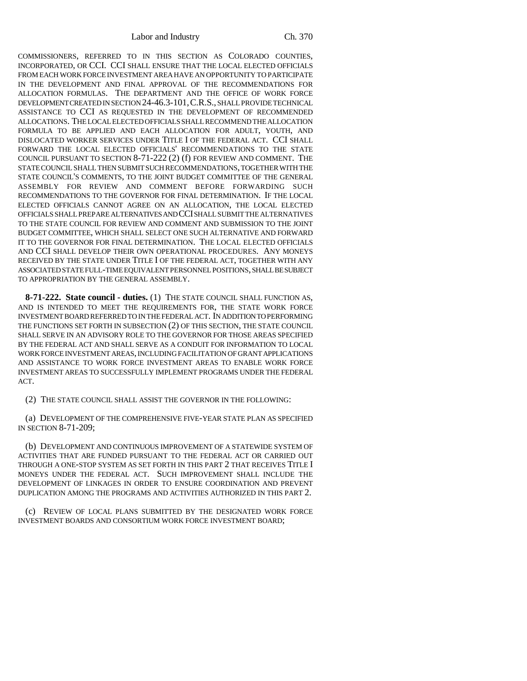Labor and Industry Ch. 370

COMMISSIONERS, REFERRED TO IN THIS SECTION AS COLORADO COUNTIES, INCORPORATED, OR CCI. CCI SHALL ENSURE THAT THE LOCAL ELECTED OFFICIALS FROM EACH WORK FORCE INVESTMENT AREA HAVE AN OPPORTUNITY TO PARTICIPATE IN THE DEVELOPMENT AND FINAL APPROVAL OF THE RECOMMENDATIONS FOR ALLOCATION FORMULAS. THE DEPARTMENT AND THE OFFICE OF WORK FORCE DEVELOPMENT CREATED IN SECTION 24-46.3-101,C.R.S., SHALL PROVIDE TECHNICAL ASSISTANCE TO CCI AS REQUESTED IN THE DEVELOPMENT OF RECOMMENDED ALLOCATIONS. THE LOCAL ELECTED OFFICIALS SHALL RECOMMEND THE ALLOCATION FORMULA TO BE APPLIED AND EACH ALLOCATION FOR ADULT, YOUTH, AND DISLOCATED WORKER SERVICES UNDER TITLE I OF THE FEDERAL ACT. CCI SHALL FORWARD THE LOCAL ELECTED OFFICIALS' RECOMMENDATIONS TO THE STATE COUNCIL PURSUANT TO SECTION 8-71-222 (2) (f) FOR REVIEW AND COMMENT. THE STATE COUNCIL SHALL THEN SUBMIT SUCH RECOMMENDATIONS, TOGETHER WITH THE STATE COUNCIL'S COMMENTS, TO THE JOINT BUDGET COMMITTEE OF THE GENERAL ASSEMBLY FOR REVIEW AND COMMENT BEFORE FORWARDING SUCH RECOMMENDATIONS TO THE GOVERNOR FOR FINAL DETERMINATION. IF THE LOCAL ELECTED OFFICIALS CANNOT AGREE ON AN ALLOCATION, THE LOCAL ELECTED OFFICIALS SHALL PREPARE ALTERNATIVES AND CCI SHALL SUBMIT THE ALTERNATIVES TO THE STATE COUNCIL FOR REVIEW AND COMMENT AND SUBMISSION TO THE JOINT BUDGET COMMITTEE, WHICH SHALL SELECT ONE SUCH ALTERNATIVE AND FORWARD IT TO THE GOVERNOR FOR FINAL DETERMINATION. THE LOCAL ELECTED OFFICIALS AND CCI SHALL DEVELOP THEIR OWN OPERATIONAL PROCEDURES. ANY MONEYS RECEIVED BY THE STATE UNDER TITLE I OF THE FEDERAL ACT, TOGETHER WITH ANY ASSOCIATED STATE FULL-TIME EQUIVALENT PERSONNEL POSITIONS, SHALL BE SUBJECT TO APPROPRIATION BY THE GENERAL ASSEMBLY.

**8-71-222. State council - duties.** (1) THE STATE COUNCIL SHALL FUNCTION AS, AND IS INTENDED TO MEET THE REQUIREMENTS FOR, THE STATE WORK FORCE INVESTMENT BOARD REFERRED TO IN THE FEDERAL ACT. IN ADDITION TO PERFORMING THE FUNCTIONS SET FORTH IN SUBSECTION (2) OF THIS SECTION, THE STATE COUNCIL SHALL SERVE IN AN ADVISORY ROLE TO THE GOVERNOR FOR THOSE AREAS SPECIFIED BY THE FEDERAL ACT AND SHALL SERVE AS A CONDUIT FOR INFORMATION TO LOCAL WORK FORCE INVESTMENT AREAS, INCLUDING FACILITATION OF GRANT APPLICATIONS AND ASSISTANCE TO WORK FORCE INVESTMENT AREAS TO ENABLE WORK FORCE INVESTMENT AREAS TO SUCCESSFULLY IMPLEMENT PROGRAMS UNDER THE FEDERAL ACT.

(2) THE STATE COUNCIL SHALL ASSIST THE GOVERNOR IN THE FOLLOWING:

(a) DEVELOPMENT OF THE COMPREHENSIVE FIVE-YEAR STATE PLAN AS SPECIFIED IN SECTION 8-71-209;

(b) DEVELOPMENT AND CONTINUOUS IMPROVEMENT OF A STATEWIDE SYSTEM OF ACTIVITIES THAT ARE FUNDED PURSUANT TO THE FEDERAL ACT OR CARRIED OUT THROUGH A ONE-STOP SYSTEM AS SET FORTH IN THIS PART 2 THAT RECEIVES TITLE I MONEYS UNDER THE FEDERAL ACT. SUCH IMPROVEMENT SHALL INCLUDE THE DEVELOPMENT OF LINKAGES IN ORDER TO ENSURE COORDINATION AND PREVENT DUPLICATION AMONG THE PROGRAMS AND ACTIVITIES AUTHORIZED IN THIS PART 2.

(c) REVIEW OF LOCAL PLANS SUBMITTED BY THE DESIGNATED WORK FORCE INVESTMENT BOARDS AND CONSORTIUM WORK FORCE INVESTMENT BOARD;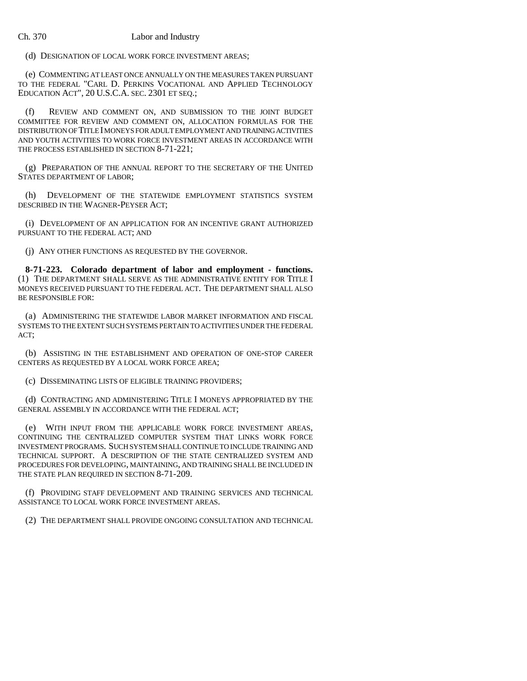(d) DESIGNATION OF LOCAL WORK FORCE INVESTMENT AREAS;

(e) COMMENTING AT LEAST ONCE ANNUALLY ON THE MEASURES TAKEN PURSUANT TO THE FEDERAL "CARL D. PERKINS VOCATIONAL AND APPLIED TECHNOLOGY EDUCATION ACT", 20 U.S.C.A. SEC. 2301 ET SEQ.;

(f) REVIEW AND COMMENT ON, AND SUBMISSION TO THE JOINT BUDGET COMMITTEE FOR REVIEW AND COMMENT ON, ALLOCATION FORMULAS FOR THE DISTRIBUTION OF TITLE I MONEYS FOR ADULT EMPLOYMENT AND TRAINING ACTIVITIES AND YOUTH ACTIVITIES TO WORK FORCE INVESTMENT AREAS IN ACCORDANCE WITH THE PROCESS ESTABLISHED IN SECTION 8-71-221;

(g) PREPARATION OF THE ANNUAL REPORT TO THE SECRETARY OF THE UNITED STATES DEPARTMENT OF LABOR;

(h) DEVELOPMENT OF THE STATEWIDE EMPLOYMENT STATISTICS SYSTEM DESCRIBED IN THE WAGNER-PEYSER ACT;

(i) DEVELOPMENT OF AN APPLICATION FOR AN INCENTIVE GRANT AUTHORIZED PURSUANT TO THE FEDERAL ACT; AND

(j) ANY OTHER FUNCTIONS AS REQUESTED BY THE GOVERNOR.

**8-71-223. Colorado department of labor and employment - functions.** (1) THE DEPARTMENT SHALL SERVE AS THE ADMINISTRATIVE ENTITY FOR TITLE I MONEYS RECEIVED PURSUANT TO THE FEDERAL ACT. THE DEPARTMENT SHALL ALSO BE RESPONSIBLE FOR:

(a) ADMINISTERING THE STATEWIDE LABOR MARKET INFORMATION AND FISCAL SYSTEMS TO THE EXTENT SUCH SYSTEMS PERTAIN TO ACTIVITIES UNDER THE FEDERAL ACT;

(b) ASSISTING IN THE ESTABLISHMENT AND OPERATION OF ONE-STOP CAREER CENTERS AS REQUESTED BY A LOCAL WORK FORCE AREA;

(c) DISSEMINATING LISTS OF ELIGIBLE TRAINING PROVIDERS;

(d) CONTRACTING AND ADMINISTERING TITLE I MONEYS APPROPRIATED BY THE GENERAL ASSEMBLY IN ACCORDANCE WITH THE FEDERAL ACT;

(e) WITH INPUT FROM THE APPLICABLE WORK FORCE INVESTMENT AREAS, CONTINUING THE CENTRALIZED COMPUTER SYSTEM THAT LINKS WORK FORCE INVESTMENT PROGRAMS. SUCH SYSTEM SHALL CONTINUE TO INCLUDE TRAINING AND TECHNICAL SUPPORT. A DESCRIPTION OF THE STATE CENTRALIZED SYSTEM AND PROCEDURES FOR DEVELOPING, MAINTAINING, AND TRAINING SHALL BE INCLUDED IN THE STATE PLAN REQUIRED IN SECTION 8-71-209.

(f) PROVIDING STAFF DEVELOPMENT AND TRAINING SERVICES AND TECHNICAL ASSISTANCE TO LOCAL WORK FORCE INVESTMENT AREAS.

(2) THE DEPARTMENT SHALL PROVIDE ONGOING CONSULTATION AND TECHNICAL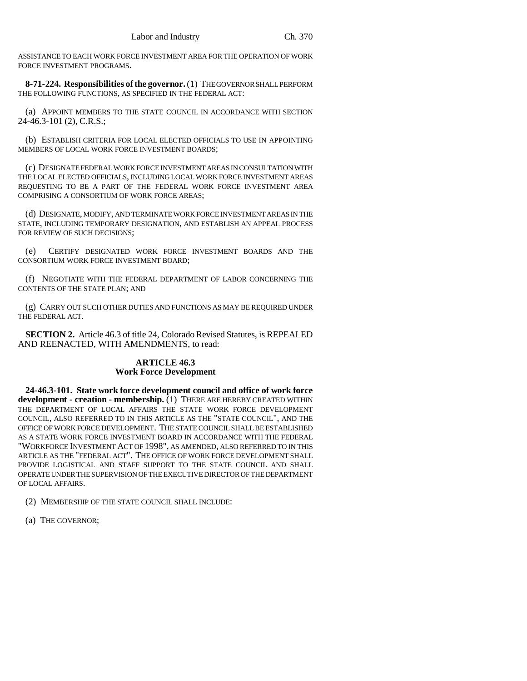ASSISTANCE TO EACH WORK FORCE INVESTMENT AREA FOR THE OPERATION OF WORK FORCE INVESTMENT PROGRAMS.

**8-71-224. Responsibilities of the governor.** (1) THE GOVERNOR SHALL PERFORM THE FOLLOWING FUNCTIONS, AS SPECIFIED IN THE FEDERAL ACT:

(a) APPOINT MEMBERS TO THE STATE COUNCIL IN ACCORDANCE WITH SECTION 24-46.3-101 (2), C.R.S.;

(b) ESTABLISH CRITERIA FOR LOCAL ELECTED OFFICIALS TO USE IN APPOINTING MEMBERS OF LOCAL WORK FORCE INVESTMENT BOARDS;

(c) DESIGNATE FEDERAL WORK FORCE INVESTMENT AREAS IN CONSULTATION WITH THE LOCAL ELECTED OFFICIALS, INCLUDING LOCAL WORK FORCE INVESTMENT AREAS REQUESTING TO BE A PART OF THE FEDERAL WORK FORCE INVESTMENT AREA COMPRISING A CONSORTIUM OF WORK FORCE AREAS;

(d) DESIGNATE, MODIFY, AND TERMINATE WORK FORCE INVESTMENT AREAS IN THE STATE, INCLUDING TEMPORARY DESIGNATION, AND ESTABLISH AN APPEAL PROCESS FOR REVIEW OF SUCH DECISIONS;

(e) CERTIFY DESIGNATED WORK FORCE INVESTMENT BOARDS AND THE CONSORTIUM WORK FORCE INVESTMENT BOARD;

(f) NEGOTIATE WITH THE FEDERAL DEPARTMENT OF LABOR CONCERNING THE CONTENTS OF THE STATE PLAN; AND

(g) CARRY OUT SUCH OTHER DUTIES AND FUNCTIONS AS MAY BE REQUIRED UNDER THE FEDERAL ACT.

**SECTION 2.** Article 46.3 of title 24, Colorado Revised Statutes, is REPEALED AND REENACTED, WITH AMENDMENTS, to read:

## **ARTICLE 46.3 Work Force Development**

**24-46.3-101. State work force development council and office of work force development - creation - membership.** (1) THERE ARE HEREBY CREATED WITHIN THE DEPARTMENT OF LOCAL AFFAIRS THE STATE WORK FORCE DEVELOPMENT COUNCIL, ALSO REFERRED TO IN THIS ARTICLE AS THE "STATE COUNCIL", AND THE OFFICE OF WORK FORCE DEVELOPMENT. THE STATE COUNCIL SHALL BE ESTABLISHED AS A STATE WORK FORCE INVESTMENT BOARD IN ACCORDANCE WITH THE FEDERAL "WORKFORCE INVESTMENT ACT OF 1998", AS AMENDED, ALSO REFERRED TO IN THIS ARTICLE AS THE "FEDERAL ACT". THE OFFICE OF WORK FORCE DEVELOPMENT SHALL PROVIDE LOGISTICAL AND STAFF SUPPORT TO THE STATE COUNCIL AND SHALL OPERATE UNDER THE SUPERVISION OF THE EXECUTIVE DIRECTOR OF THE DEPARTMENT OF LOCAL AFFAIRS.

- (2) MEMBERSHIP OF THE STATE COUNCIL SHALL INCLUDE:
- (a) THE GOVERNOR;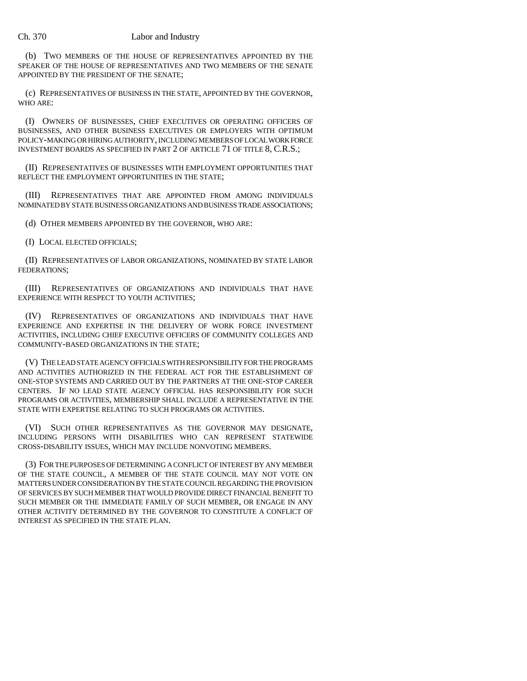(b) TWO MEMBERS OF THE HOUSE OF REPRESENTATIVES APPOINTED BY THE SPEAKER OF THE HOUSE OF REPRESENTATIVES AND TWO MEMBERS OF THE SENATE APPOINTED BY THE PRESIDENT OF THE SENATE;

(c) REPRESENTATIVES OF BUSINESS IN THE STATE, APPOINTED BY THE GOVERNOR, WHO ARE:

(I) OWNERS OF BUSINESSES, CHIEF EXECUTIVES OR OPERATING OFFICERS OF BUSINESSES, AND OTHER BUSINESS EXECUTIVES OR EMPLOYERS WITH OPTIMUM POLICY-MAKING OR HIRING AUTHORITY, INCLUDING MEMBERS OF LOCAL WORK FORCE INVESTMENT BOARDS AS SPECIFIED IN PART 2 OF ARTICLE 71 OF TITLE 8, C.R.S.;

(II) REPRESENTATIVES OF BUSINESSES WITH EMPLOYMENT OPPORTUNITIES THAT REFLECT THE EMPLOYMENT OPPORTUNITIES IN THE STATE;

(III) REPRESENTATIVES THAT ARE APPOINTED FROM AMONG INDIVIDUALS NOMINATED BY STATE BUSINESS ORGANIZATIONS AND BUSINESS TRADE ASSOCIATIONS;

(d) OTHER MEMBERS APPOINTED BY THE GOVERNOR, WHO ARE:

(I) LOCAL ELECTED OFFICIALS;

(II) REPRESENTATIVES OF LABOR ORGANIZATIONS, NOMINATED BY STATE LABOR FEDERATIONS;

(III) REPRESENTATIVES OF ORGANIZATIONS AND INDIVIDUALS THAT HAVE EXPERIENCE WITH RESPECT TO YOUTH ACTIVITIES;

(IV) REPRESENTATIVES OF ORGANIZATIONS AND INDIVIDUALS THAT HAVE EXPERIENCE AND EXPERTISE IN THE DELIVERY OF WORK FORCE INVESTMENT ACTIVITIES, INCLUDING CHIEF EXECUTIVE OFFICERS OF COMMUNITY COLLEGES AND COMMUNITY-BASED ORGANIZATIONS IN THE STATE;

(V) THE LEAD STATE AGENCY OFFICIALS WITH RESPONSIBILITY FOR THE PROGRAMS AND ACTIVITIES AUTHORIZED IN THE FEDERAL ACT FOR THE ESTABLISHMENT OF ONE-STOP SYSTEMS AND CARRIED OUT BY THE PARTNERS AT THE ONE-STOP CAREER CENTERS. IF NO LEAD STATE AGENCY OFFICIAL HAS RESPONSIBILITY FOR SUCH PROGRAMS OR ACTIVITIES, MEMBERSHIP SHALL INCLUDE A REPRESENTATIVE IN THE STATE WITH EXPERTISE RELATING TO SUCH PROGRAMS OR ACTIVITIES.

(VI) SUCH OTHER REPRESENTATIVES AS THE GOVERNOR MAY DESIGNATE, INCLUDING PERSONS WITH DISABILITIES WHO CAN REPRESENT STATEWIDE CROSS-DISABILITY ISSUES, WHICH MAY INCLUDE NONVOTING MEMBERS.

(3) FOR THE PURPOSES OF DETERMINING A CONFLICT OF INTEREST BY ANY MEMBER OF THE STATE COUNCIL, A MEMBER OF THE STATE COUNCIL MAY NOT VOTE ON MATTERS UNDER CONSIDERATION BY THE STATE COUNCIL REGARDING THE PROVISION OF SERVICES BY SUCH MEMBER THAT WOULD PROVIDE DIRECT FINANCIAL BENEFIT TO SUCH MEMBER OR THE IMMEDIATE FAMILY OF SUCH MEMBER, OR ENGAGE IN ANY OTHER ACTIVITY DETERMINED BY THE GOVERNOR TO CONSTITUTE A CONFLICT OF INTEREST AS SPECIFIED IN THE STATE PLAN.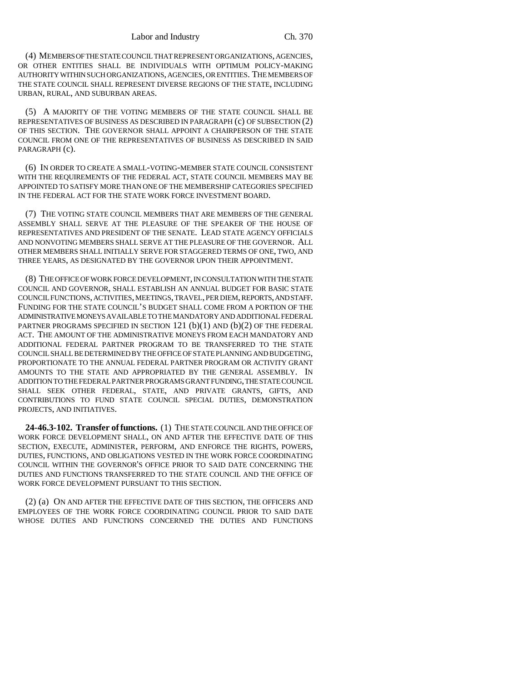(4) MEMBERS OF THE STATE COUNCIL THAT REPRESENT ORGANIZATIONS, AGENCIES, OR OTHER ENTITIES SHALL BE INDIVIDUALS WITH OPTIMUM POLICY-MAKING AUTHORITY WITHIN SUCH ORGANIZATIONS, AGENCIES, OR ENTITIES. THE MEMBERS OF THE STATE COUNCIL SHALL REPRESENT DIVERSE REGIONS OF THE STATE, INCLUDING URBAN, RURAL, AND SUBURBAN AREAS.

(5) A MAJORITY OF THE VOTING MEMBERS OF THE STATE COUNCIL SHALL BE REPRESENTATIVES OF BUSINESS AS DESCRIBED IN PARAGRAPH (c) OF SUBSECTION (2) OF THIS SECTION. THE GOVERNOR SHALL APPOINT A CHAIRPERSON OF THE STATE COUNCIL FROM ONE OF THE REPRESENTATIVES OF BUSINESS AS DESCRIBED IN SAID PARAGRAPH (c).

(6) IN ORDER TO CREATE A SMALL-VOTING-MEMBER STATE COUNCIL CONSISTENT WITH THE REQUIREMENTS OF THE FEDERAL ACT, STATE COUNCIL MEMBERS MAY BE APPOINTED TO SATISFY MORE THAN ONE OF THE MEMBERSHIP CATEGORIES SPECIFIED IN THE FEDERAL ACT FOR THE STATE WORK FORCE INVESTMENT BOARD.

(7) THE VOTING STATE COUNCIL MEMBERS THAT ARE MEMBERS OF THE GENERAL ASSEMBLY SHALL SERVE AT THE PLEASURE OF THE SPEAKER OF THE HOUSE OF REPRESENTATIVES AND PRESIDENT OF THE SENATE. LEAD STATE AGENCY OFFICIALS AND NONVOTING MEMBERS SHALL SERVE AT THE PLEASURE OF THE GOVERNOR. ALL OTHER MEMBERS SHALL INITIALLY SERVE FOR STAGGERED TERMS OF ONE, TWO, AND THREE YEARS, AS DESIGNATED BY THE GOVERNOR UPON THEIR APPOINTMENT.

(8) THE OFFICE OF WORK FORCE DEVELOPMENT, IN CONSULTATION WITH THE STATE COUNCIL AND GOVERNOR, SHALL ESTABLISH AN ANNUAL BUDGET FOR BASIC STATE COUNCIL FUNCTIONS, ACTIVITIES, MEETINGS, TRAVEL, PER DIEM, REPORTS, AND STAFF. FUNDING FOR THE STATE COUNCIL'S BUDGET SHALL COME FROM A PORTION OF THE ADMINISTRATIVE MONEYS AVAILABLE TO THE MANDATORY AND ADDITIONAL FEDERAL PARTNER PROGRAMS SPECIFIED IN SECTION 121 (b)(1) AND (b)(2) OF THE FEDERAL ACT. THE AMOUNT OF THE ADMINISTRATIVE MONEYS FROM EACH MANDATORY AND ADDITIONAL FEDERAL PARTNER PROGRAM TO BE TRANSFERRED TO THE STATE COUNCIL SHALL BE DETERMINED BY THE OFFICE OF STATE PLANNING AND BUDGETING, PROPORTIONATE TO THE ANNUAL FEDERAL PARTNER PROGRAM OR ACTIVITY GRANT AMOUNTS TO THE STATE AND APPROPRIATED BY THE GENERAL ASSEMBLY. IN ADDITION TO THE FEDERAL PARTNER PROGRAMS GRANT FUNDING, THE STATE COUNCIL SHALL SEEK OTHER FEDERAL, STATE, AND PRIVATE GRANTS, GIFTS, AND CONTRIBUTIONS TO FUND STATE COUNCIL SPECIAL DUTIES, DEMONSTRATION PROJECTS, AND INITIATIVES.

**24-46.3-102. Transfer of functions.** (1) THE STATE COUNCIL AND THE OFFICE OF WORK FORCE DEVELOPMENT SHALL, ON AND AFTER THE EFFECTIVE DATE OF THIS SECTION, EXECUTE, ADMINISTER, PERFORM, AND ENFORCE THE RIGHTS, POWERS, DUTIES, FUNCTIONS, AND OBLIGATIONS VESTED IN THE WORK FORCE COORDINATING COUNCIL WITHIN THE GOVERNOR'S OFFICE PRIOR TO SAID DATE CONCERNING THE DUTIES AND FUNCTIONS TRANSFERRED TO THE STATE COUNCIL AND THE OFFICE OF WORK FORCE DEVELOPMENT PURSUANT TO THIS SECTION.

(2) (a) ON AND AFTER THE EFFECTIVE DATE OF THIS SECTION, THE OFFICERS AND EMPLOYEES OF THE WORK FORCE COORDINATING COUNCIL PRIOR TO SAID DATE WHOSE DUTIES AND FUNCTIONS CONCERNED THE DUTIES AND FUNCTIONS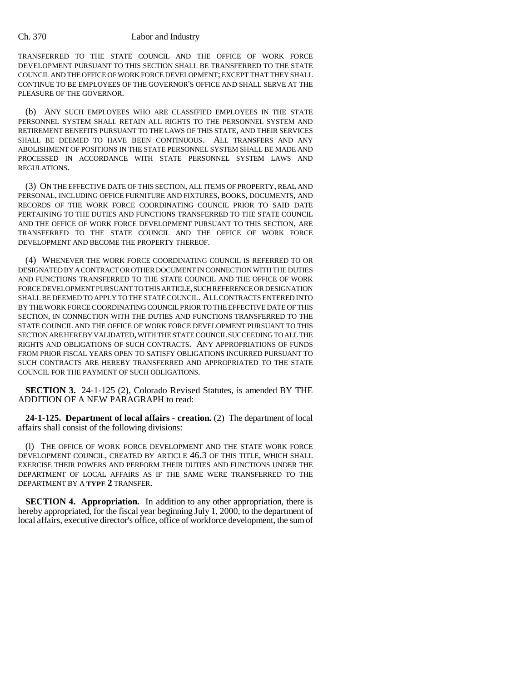TRANSFERRED TO THE STATE COUNCIL AND THE OFFICE OF WORK FORCE DEVELOPMENT PURSUANT TO THIS SECTION SHALL BE TRANSFERRED TO THE STATE COUNCIL AND THE OFFICE OF WORK FORCE DEVELOPMENT; EXCEPT THAT THEY SHALL CONTINUE TO BE EMPLOYEES OF THE GOVERNOR'S OFFICE AND SHALL SERVE AT THE PLEASURE OF THE GOVERNOR.

(b) ANY SUCH EMPLOYEES WHO ARE CLASSIFIED EMPLOYEES IN THE STATE PERSONNEL SYSTEM SHALL RETAIN ALL RIGHTS TO THE PERSONNEL SYSTEM AND RETIREMENT BENEFITS PURSUANT TO THE LAWS OF THIS STATE, AND THEIR SERVICES SHALL BE DEEMED TO HAVE BEEN CONTINUOUS. ALL TRANSFERS AND ANY ABOLISHMENT OF POSITIONS IN THE STATE PERSONNEL SYSTEM SHALL BE MADE AND PROCESSED IN ACCORDANCE WITH STATE PERSONNEL SYSTEM LAWS AND REGULATIONS.

(3) ON THE EFFECTIVE DATE OF THIS SECTION, ALL ITEMS OF PROPERTY, REAL AND PERSONAL, INCLUDING OFFICE FURNITURE AND FIXTURES, BOOKS, DOCUMENTS, AND RECORDS OF THE WORK FORCE COORDINATING COUNCIL PRIOR TO SAID DATE PERTAINING TO THE DUTIES AND FUNCTIONS TRANSFERRED TO THE STATE COUNCIL AND THE OFFICE OF WORK FORCE DEVELOPMENT PURSUANT TO THIS SECTION, ARE TRANSFERRED TO THE STATE COUNCIL AND THE OFFICE OF WORK FORCE DEVELOPMENT AND BECOME THE PROPERTY THEREOF.

(4) WHENEVER THE WORK FORCE COORDINATING COUNCIL IS REFERRED TO OR DESIGNATED BY A CONTRACT OR OTHER DOCUMENT IN CONNECTION WITH THE DUTIES AND FUNCTIONS TRANSFERRED TO THE STATE COUNCIL AND THE OFFICE OF WORK FORCE DEVELOPMENT PURSUANT TO THIS ARTICLE, SUCH REFERENCE OR DESIGNATION SHALL BE DEEMED TO APPLY TO THE STATE COUNCIL. ALL CONTRACTS ENTERED INTO BY THE WORK FORCE COORDINATING COUNCIL PRIOR TO THE EFFECTIVE DATE OF THIS SECTION, IN CONNECTION WITH THE DUTIES AND FUNCTIONS TRANSFERRED TO THE STATE COUNCIL AND THE OFFICE OF WORK FORCE DEVELOPMENT PURSUANT TO THIS SECTION ARE HEREBY VALIDATED, WITH THE STATE COUNCIL SUCCEEDING TO ALL THE RIGHTS AND OBLIGATIONS OF SUCH CONTRACTS. ANY APPROPRIATIONS OF FUNDS FROM PRIOR FISCAL YEARS OPEN TO SATISFY OBLIGATIONS INCURRED PURSUANT TO SUCH CONTRACTS ARE HEREBY TRANSFERRED AND APPROPRIATED TO THE STATE COUNCIL FOR THE PAYMENT OF SUCH OBLIGATIONS.

**SECTION 3.** 24-1-125 (2), Colorado Revised Statutes, is amended BY THE ADDITION OF A NEW PARAGRAPH to read:

**24-1-125. Department of local affairs - creation.** (2) The department of local affairs shall consist of the following divisions:

(l) THE OFFICE OF WORK FORCE DEVELOPMENT AND THE STATE WORK FORCE DEVELOPMENT COUNCIL, CREATED BY ARTICLE 46.3 OF THIS TITLE, WHICH SHALL EXERCISE THEIR POWERS AND PERFORM THEIR DUTIES AND FUNCTIONS UNDER THE DEPARTMENT OF LOCAL AFFAIRS AS IF THE SAME WERE TRANSFERRED TO THE DEPARTMENT BY A **TYPE 2** TRANSFER.

**SECTION 4. Appropriation.** In addition to any other appropriation, there is hereby appropriated, for the fiscal year beginning July 1, 2000, to the department of local affairs, executive director's office, office of workforce development, the sum of